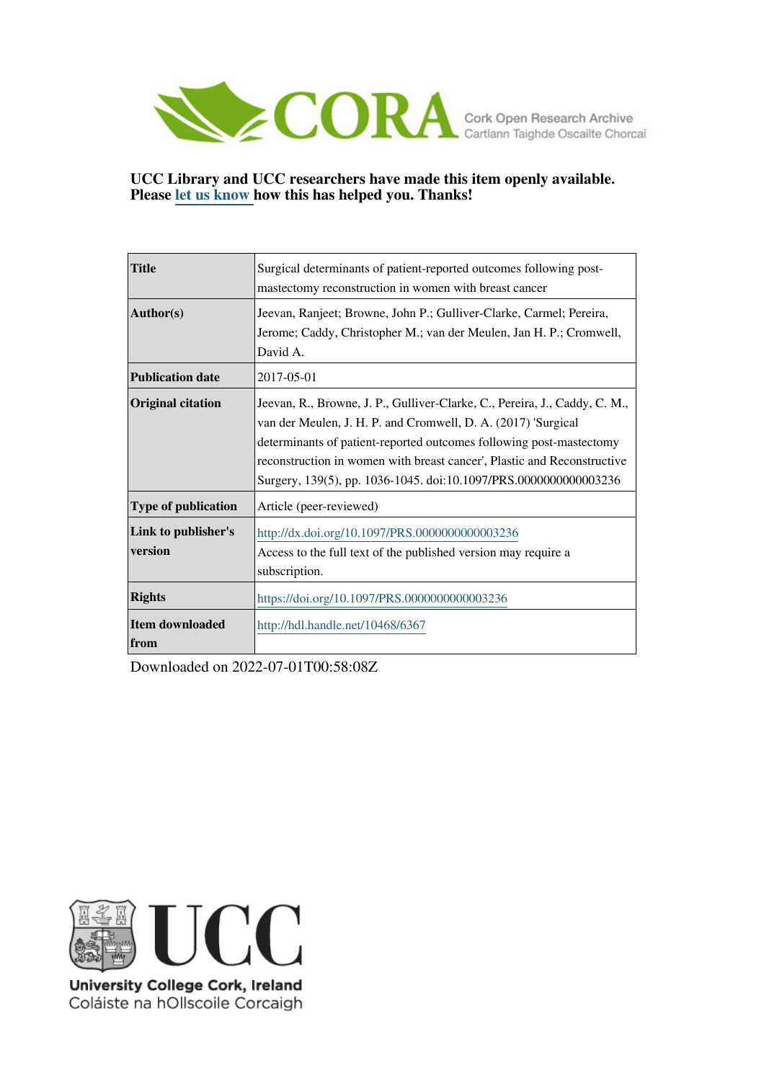

### **UCC Library and UCC researchers have made this item openly available. Please [let us know h](https://libguides.ucc.ie/openaccess/impact?suffix=6367&title=Surgical determinants of patient-reported outcomes following post-mastectomy reconstruction in women with breast cancer)ow this has helped you. Thanks!**

| <b>Title</b>                   | Surgical determinants of patient-reported outcomes following post-<br>mastectomy reconstruction in women with breast cancer                                                                                                                                                                                                                                       |
|--------------------------------|-------------------------------------------------------------------------------------------------------------------------------------------------------------------------------------------------------------------------------------------------------------------------------------------------------------------------------------------------------------------|
| Author(s)                      | Jeevan, Ranjeet; Browne, John P.; Gulliver-Clarke, Carmel; Pereira,<br>Jerome; Caddy, Christopher M.; van der Meulen, Jan H. P.; Cromwell,<br>David A.                                                                                                                                                                                                            |
| <b>Publication date</b>        | 2017-05-01                                                                                                                                                                                                                                                                                                                                                        |
| <b>Original citation</b>       | Jeevan, R., Browne, J. P., Gulliver-Clarke, C., Pereira, J., Caddy, C. M.,<br>van der Meulen, J. H. P. and Cromwell, D. A. (2017) 'Surgical<br>determinants of patient-reported outcomes following post-mastectomy<br>reconstruction in women with breast cancer', Plastic and Reconstructive<br>Surgery, 139(5), pp. 1036-1045. doi:10.1097/PRS.0000000000003236 |
| <b>Type of publication</b>     | Article (peer-reviewed)                                                                                                                                                                                                                                                                                                                                           |
| Link to publisher's<br>version | http://dx.doi.org/10.1097/PRS.0000000000003236<br>Access to the full text of the published version may require a<br>subscription.                                                                                                                                                                                                                                 |
| <b>Rights</b>                  | https://doi.org/10.1097/PRS.0000000000003236                                                                                                                                                                                                                                                                                                                      |
| <b>Item downloaded</b><br>from | http://hdl.handle.net/10468/6367                                                                                                                                                                                                                                                                                                                                  |

Downloaded on 2022-07-01T00:58:08Z



University College Cork, Ireland Coláiste na hOllscoile Corcaigh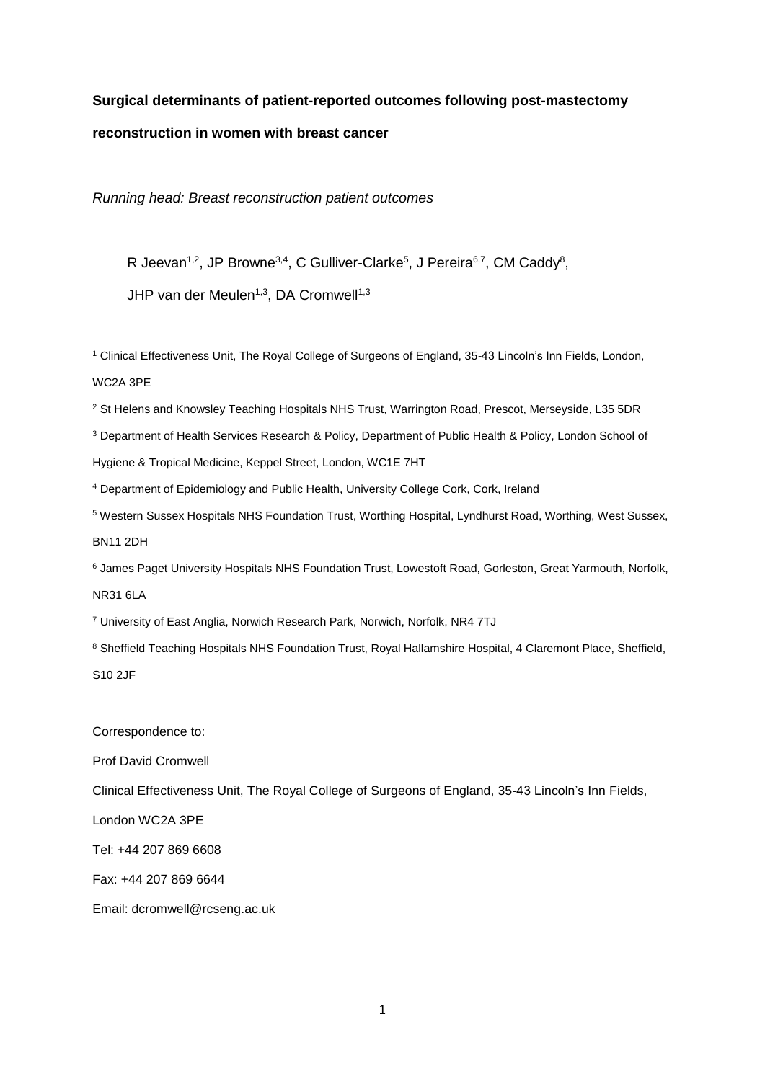# **Surgical determinants of patient-reported outcomes following post-mastectomy reconstruction in women with breast cancer**

*Running head: Breast reconstruction patient outcomes*

R Jeevan<sup>1,2</sup>, JP Browne<sup>3,4</sup>, C Gulliver-Clarke<sup>5</sup>, J Pereira<sup>6,7</sup>, CM Caddy<sup>8</sup>,

JHP van der Meulen<sup>1,3</sup>, DA Cromwell<sup>1,3</sup>

<sup>1</sup> Clinical Effectiveness Unit, The Royal College of Surgeons of England, 35-43 Lincoln's Inn Fields, London, WC2A 3PE

<sup>2</sup> St Helens and Knowsley Teaching Hospitals NHS Trust, Warrington Road, Prescot, Merseyside, L35 5DR

<sup>3</sup> Department of Health Services Research & Policy, Department of Public Health & Policy, London School of

Hygiene & Tropical Medicine, Keppel Street, London, WC1E 7HT

<sup>4</sup> Department of Epidemiology and Public Health, University College Cork, Cork, Ireland

<sup>5</sup> Western Sussex Hospitals NHS Foundation Trust, Worthing Hospital, Lyndhurst Road, Worthing, West Sussex, BN11 2DH

<sup>6</sup> James Paget University Hospitals NHS Foundation Trust, Lowestoft Road, Gorleston, Great Yarmouth, Norfolk, NR31 6LA

<sup>7</sup> University of East Anglia, Norwich Research Park, Norwich, Norfolk, NR4 7TJ

<sup>8</sup> Sheffield Teaching Hospitals NHS Foundation Trust, Royal Hallamshire Hospital, 4 Claremont Place, Sheffield, S10 2JF

Correspondence to:

Prof David Cromwell

Clinical Effectiveness Unit, The Royal College of Surgeons of England, 35-43 Lincoln's Inn Fields,

London WC2A 3PE

Tel: +44 207 869 6608

Fax: +44 207 869 6644

Email: dcromwell@rcseng.ac.uk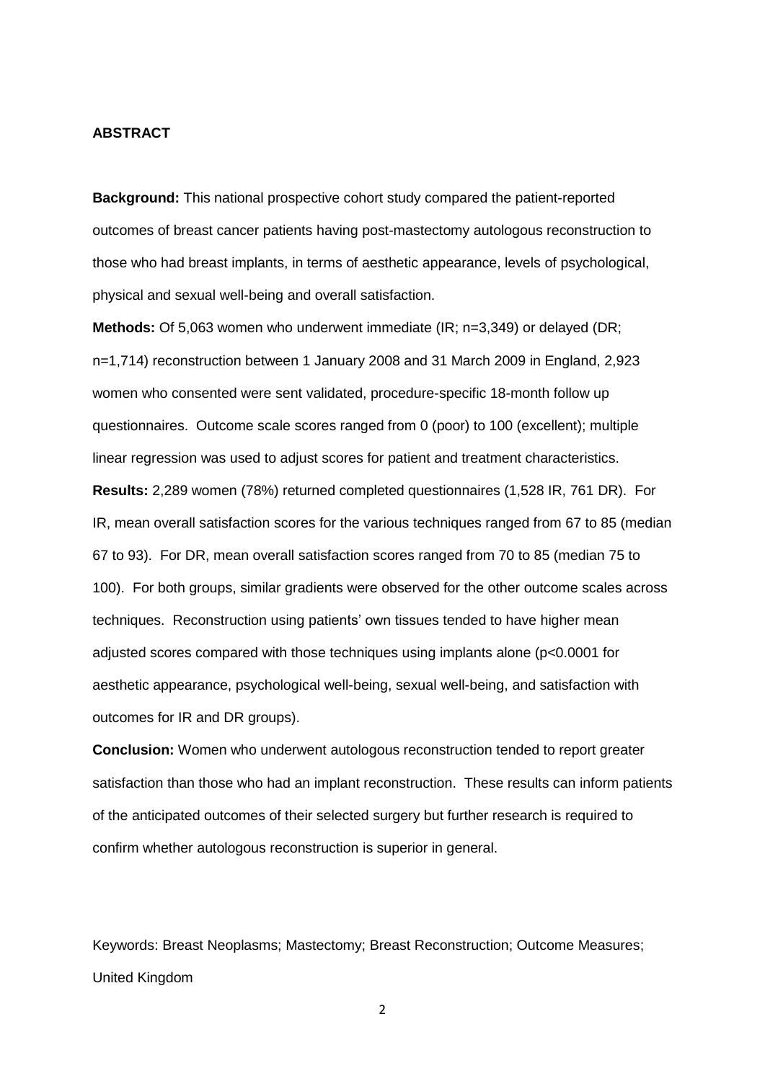#### **ABSTRACT**

**Background:** This national prospective cohort study compared the patient-reported outcomes of breast cancer patients having post-mastectomy autologous reconstruction to those who had breast implants, in terms of aesthetic appearance, levels of psychological, physical and sexual well-being and overall satisfaction.

**Methods:** Of 5,063 women who underwent immediate (IR; n=3,349) or delayed (DR; n=1,714) reconstruction between 1 January 2008 and 31 March 2009 in England, 2,923 women who consented were sent validated, procedure-specific 18-month follow up questionnaires. Outcome scale scores ranged from 0 (poor) to 100 (excellent); multiple linear regression was used to adjust scores for patient and treatment characteristics.

**Results:** 2,289 women (78%) returned completed questionnaires (1,528 IR, 761 DR). For IR, mean overall satisfaction scores for the various techniques ranged from 67 to 85 (median 67 to 93). For DR, mean overall satisfaction scores ranged from 70 to 85 (median 75 to 100). For both groups, similar gradients were observed for the other outcome scales across techniques. Reconstruction using patients' own tissues tended to have higher mean adjusted scores compared with those techniques using implants alone (p<0.0001 for aesthetic appearance, psychological well-being, sexual well-being, and satisfaction with outcomes for IR and DR groups).

**Conclusion:** Women who underwent autologous reconstruction tended to report greater satisfaction than those who had an implant reconstruction. These results can inform patients of the anticipated outcomes of their selected surgery but further research is required to confirm whether autologous reconstruction is superior in general.

Keywords: Breast Neoplasms; Mastectomy; Breast Reconstruction; Outcome Measures; United Kingdom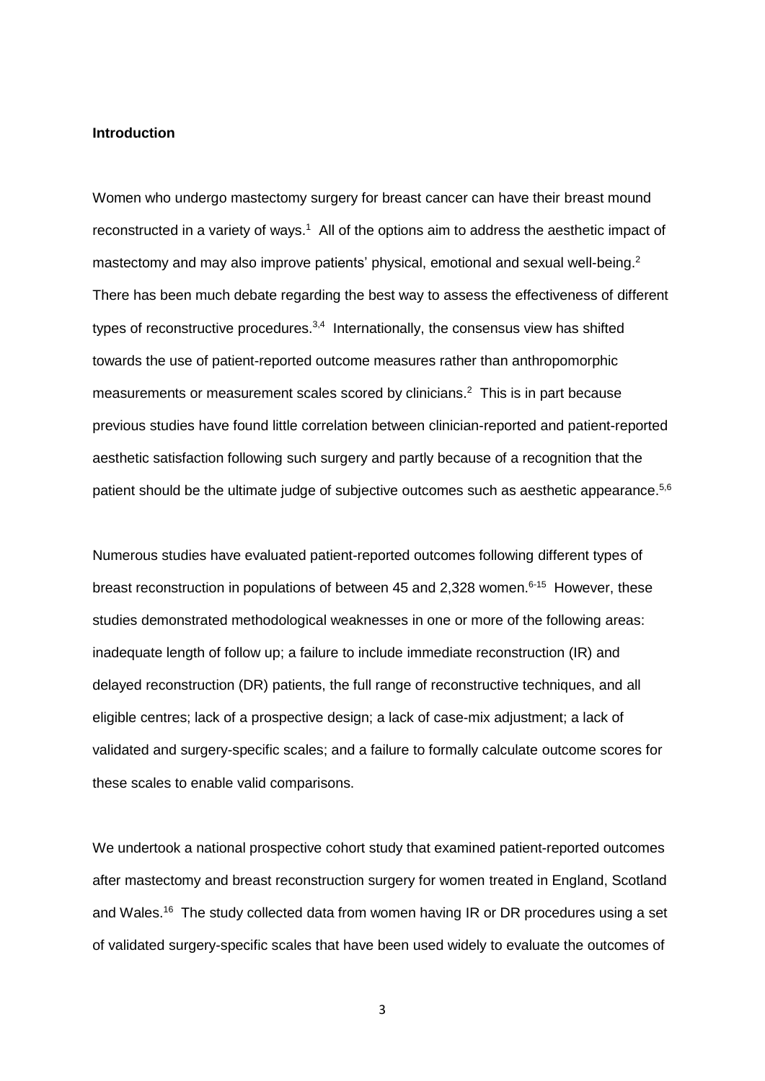#### **Introduction**

Women who undergo mastectomy surgery for breast cancer can have their breast mound reconstructed in a variety of ways.<sup>1</sup> All of the options aim to address the aesthetic impact of mastectomy and may also improve patients' physical, emotional and sexual well-being.<sup>2</sup> There has been much debate regarding the best way to assess the effectiveness of different types of reconstructive procedures.<sup>3,4</sup> Internationally, the consensus view has shifted towards the use of patient-reported outcome measures rather than anthropomorphic measurements or measurement scales scored by clinicians. 2 This is in part because previous studies have found little correlation between clinician-reported and patient-reported aesthetic satisfaction following such surgery and partly because of a recognition that the patient should be the ultimate judge of subjective outcomes such as aesthetic appearance.<sup>5,6</sup>

Numerous studies have evaluated patient-reported outcomes following different types of breast reconstruction in populations of between 45 and 2,328 women.<sup>6-15</sup> However, these studies demonstrated methodological weaknesses in one or more of the following areas: inadequate length of follow up; a failure to include immediate reconstruction (IR) and delayed reconstruction (DR) patients, the full range of reconstructive techniques, and all eligible centres; lack of a prospective design; a lack of case-mix adjustment; a lack of validated and surgery-specific scales; and a failure to formally calculate outcome scores for these scales to enable valid comparisons.

We undertook a national prospective cohort study that examined patient-reported outcomes after mastectomy and breast reconstruction surgery for women treated in England, Scotland and Wales.<sup>16</sup> The study collected data from women having IR or DR procedures using a set of validated surgery-specific scales that have been used widely to evaluate the outcomes of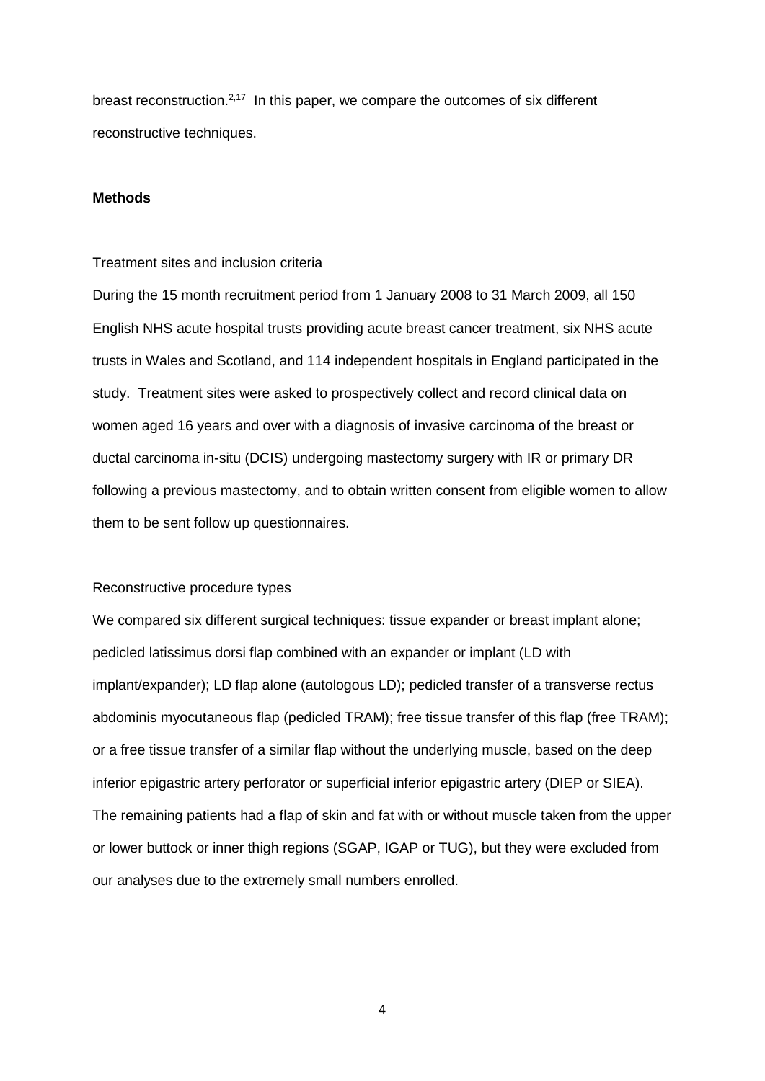breast reconstruction.<sup>2,17</sup> In this paper, we compare the outcomes of six different reconstructive techniques.

#### **Methods**

#### Treatment sites and inclusion criteria

During the 15 month recruitment period from 1 January 2008 to 31 March 2009, all 150 English NHS acute hospital trusts providing acute breast cancer treatment, six NHS acute trusts in Wales and Scotland, and 114 independent hospitals in England participated in the study. Treatment sites were asked to prospectively collect and record clinical data on women aged 16 years and over with a diagnosis of invasive carcinoma of the breast or ductal carcinoma in-situ (DCIS) undergoing mastectomy surgery with IR or primary DR following a previous mastectomy, and to obtain written consent from eligible women to allow them to be sent follow up questionnaires.

#### Reconstructive procedure types

We compared six different surgical techniques: tissue expander or breast implant alone; pedicled latissimus dorsi flap combined with an expander or implant (LD with implant/expander); LD flap alone (autologous LD); pedicled transfer of a transverse rectus abdominis myocutaneous flap (pedicled TRAM); free tissue transfer of this flap (free TRAM); or a free tissue transfer of a similar flap without the underlying muscle, based on the deep inferior epigastric artery perforator or superficial inferior epigastric artery (DIEP or SIEA). The remaining patients had a flap of skin and fat with or without muscle taken from the upper or lower buttock or inner thigh regions (SGAP, IGAP or TUG), but they were excluded from our analyses due to the extremely small numbers enrolled.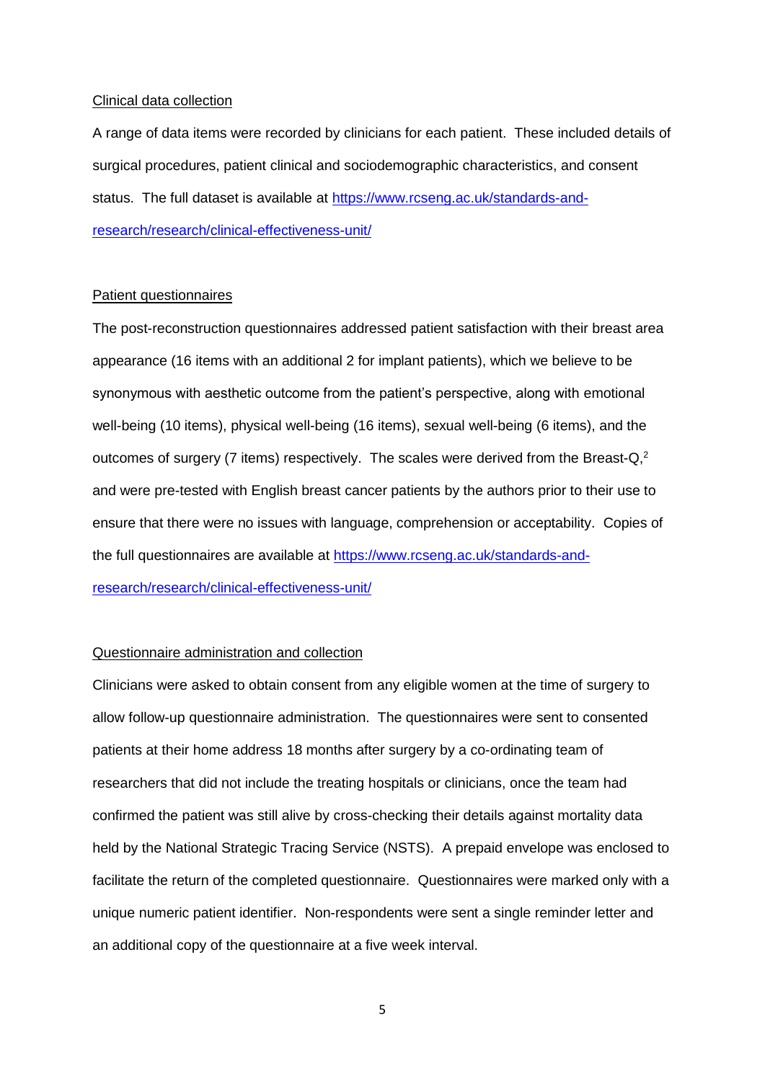#### Clinical data collection

A range of data items were recorded by clinicians for each patient. These included details of surgical procedures, patient clinical and sociodemographic characteristics, and consent status. The full dataset is available at [https://www.rcseng.ac.uk/standards-and](https://www.rcseng.ac.uk/standards-and-research/research/clinical-effectiveness-unit/)[research/research/clinical-effectiveness-unit/](https://www.rcseng.ac.uk/standards-and-research/research/clinical-effectiveness-unit/)

#### Patient questionnaires

The post-reconstruction questionnaires addressed patient satisfaction with their breast area appearance (16 items with an additional 2 for implant patients), which we believe to be synonymous with aesthetic outcome from the patient's perspective, along with emotional well-being (10 items), physical well-being (16 items), sexual well-being (6 items), and the outcomes of surgery (7 items) respectively. The scales were derived from the Breast- $Q<sub>i</sub>$ <sup>2</sup> and were pre-tested with English breast cancer patients by the authors prior to their use to ensure that there were no issues with language, comprehension or acceptability. Copies of the full questionnaires are available at [https://www.rcseng.ac.uk/standards-and](https://www.rcseng.ac.uk/standards-and-research/research/clinical-effectiveness-unit/)[research/research/clinical-effectiveness-unit/](https://www.rcseng.ac.uk/standards-and-research/research/clinical-effectiveness-unit/)

#### Questionnaire administration and collection

Clinicians were asked to obtain consent from any eligible women at the time of surgery to allow follow-up questionnaire administration. The questionnaires were sent to consented patients at their home address 18 months after surgery by a co-ordinating team of researchers that did not include the treating hospitals or clinicians, once the team had confirmed the patient was still alive by cross-checking their details against mortality data held by the National Strategic Tracing Service (NSTS). A prepaid envelope was enclosed to facilitate the return of the completed questionnaire. Questionnaires were marked only with a unique numeric patient identifier. Non-respondents were sent a single reminder letter and an additional copy of the questionnaire at a five week interval.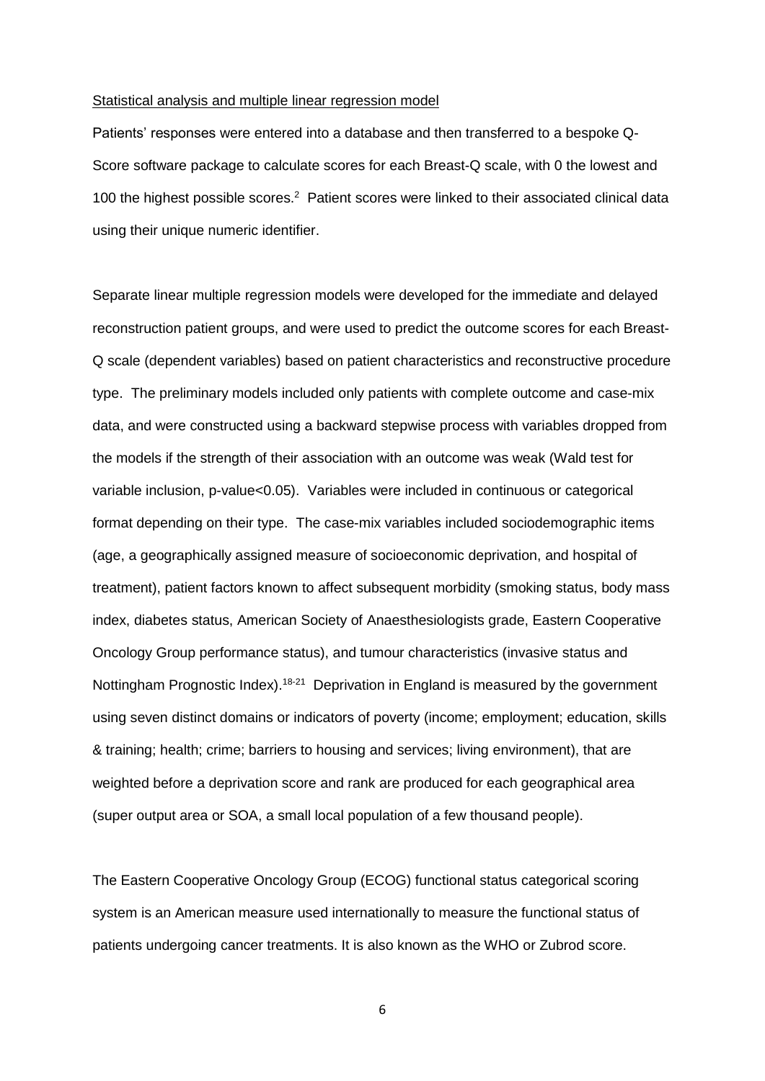#### Statistical analysis and multiple linear regression model

Patients' responses were entered into a database and then transferred to a bespoke Q-Score software package to calculate scores for each Breast-Q scale, with 0 the lowest and 100 the highest possible scores.<sup>2</sup> Patient scores were linked to their associated clinical data using their unique numeric identifier.

Separate linear multiple regression models were developed for the immediate and delayed reconstruction patient groups, and were used to predict the outcome scores for each Breast-Q scale (dependent variables) based on patient characteristics and reconstructive procedure type. The preliminary models included only patients with complete outcome and case-mix data, and were constructed using a backward stepwise process with variables dropped from the models if the strength of their association with an outcome was weak (Wald test for variable inclusion, p-value<0.05). Variables were included in continuous or categorical format depending on their type. The case-mix variables included sociodemographic items (age, a geographically assigned measure of socioeconomic deprivation, and hospital of treatment), patient factors known to affect subsequent morbidity (smoking status, body mass index, diabetes status, American Society of Anaesthesiologists grade, Eastern Cooperative Oncology Group performance status), and tumour characteristics (invasive status and Nottingham Prognostic Index).<sup>18-21</sup> Deprivation in England is measured by the government using seven distinct domains or indicators of poverty (income; employment; education, skills & training; health; crime; barriers to housing and services; living environment), that are weighted before a deprivation score and rank are produced for each geographical area (super output area or SOA, a small local population of a few thousand people).

The Eastern Cooperative Oncology Group (ECOG) functional status categorical scoring system is an American measure used internationally to measure the functional status of patients undergoing cancer treatments. It is also known as the WHO or Zubrod score.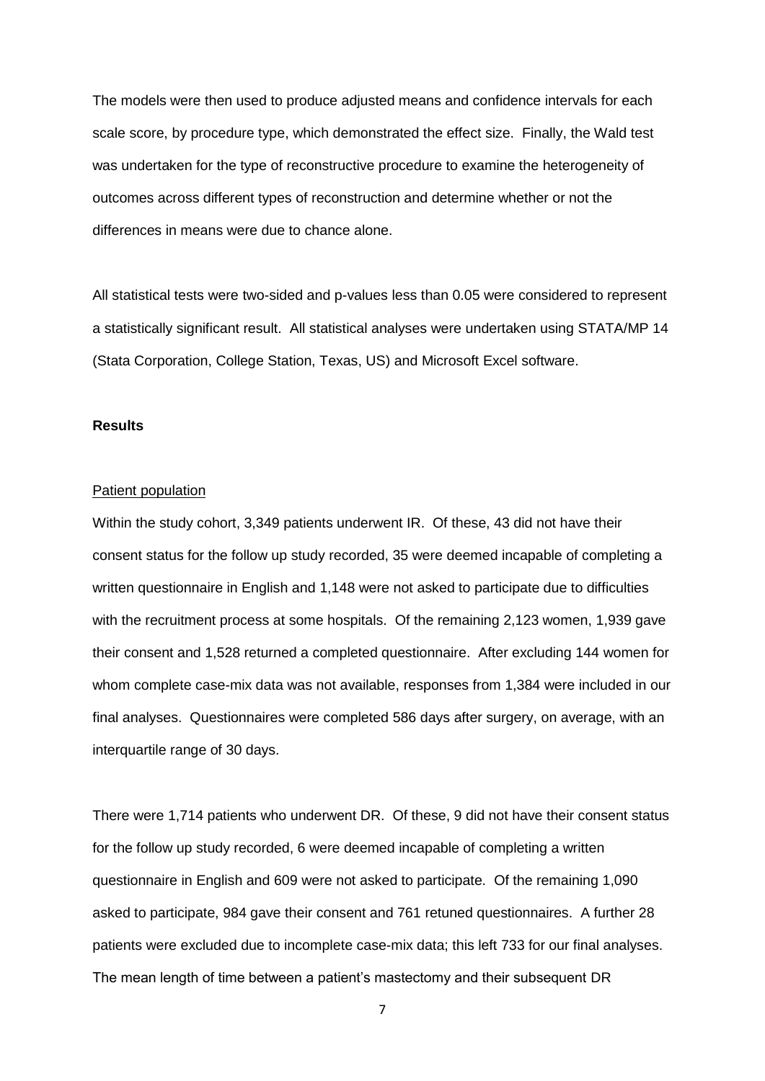The models were then used to produce adjusted means and confidence intervals for each scale score, by procedure type, which demonstrated the effect size. Finally, the Wald test was undertaken for the type of reconstructive procedure to examine the heterogeneity of outcomes across different types of reconstruction and determine whether or not the differences in means were due to chance alone.

All statistical tests were two-sided and p-values less than 0.05 were considered to represent a statistically significant result. All statistical analyses were undertaken using STATA/MP 14 (Stata Corporation, College Station, Texas, US) and Microsoft Excel software.

#### **Results**

#### Patient population

Within the study cohort, 3,349 patients underwent IR. Of these, 43 did not have their consent status for the follow up study recorded, 35 were deemed incapable of completing a written questionnaire in English and 1,148 were not asked to participate due to difficulties with the recruitment process at some hospitals. Of the remaining 2,123 women, 1,939 gave their consent and 1,528 returned a completed questionnaire. After excluding 144 women for whom complete case-mix data was not available, responses from 1,384 were included in our final analyses. Questionnaires were completed 586 days after surgery, on average, with an interquartile range of 30 days.

There were 1,714 patients who underwent DR. Of these, 9 did not have their consent status for the follow up study recorded, 6 were deemed incapable of completing a written questionnaire in English and 609 were not asked to participate. Of the remaining 1,090 asked to participate, 984 gave their consent and 761 retuned questionnaires. A further 28 patients were excluded due to incomplete case-mix data; this left 733 for our final analyses. The mean length of time between a patient's mastectomy and their subsequent DR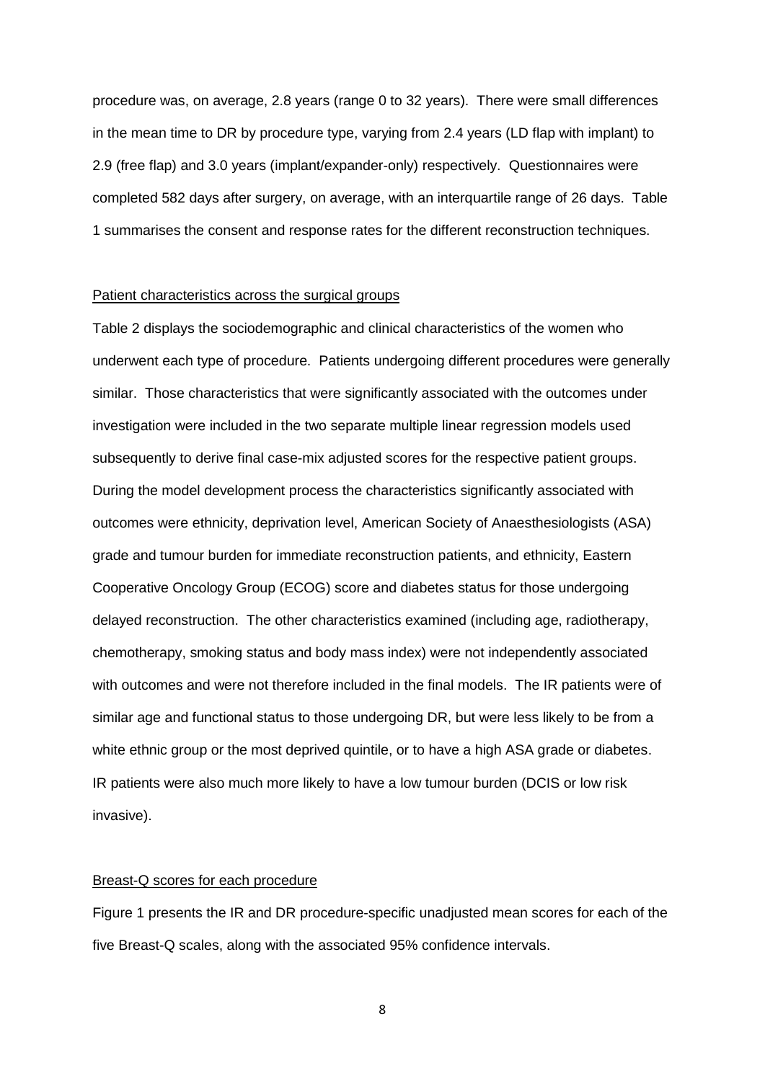procedure was, on average, 2.8 years (range 0 to 32 years). There were small differences in the mean time to DR by procedure type, varying from 2.4 years (LD flap with implant) to 2.9 (free flap) and 3.0 years (implant/expander-only) respectively. Questionnaires were completed 582 days after surgery, on average, with an interquartile range of 26 days. Table 1 summarises the consent and response rates for the different reconstruction techniques.

#### Patient characteristics across the surgical groups

Table 2 displays the sociodemographic and clinical characteristics of the women who underwent each type of procedure. Patients undergoing different procedures were generally similar. Those characteristics that were significantly associated with the outcomes under investigation were included in the two separate multiple linear regression models used subsequently to derive final case-mix adjusted scores for the respective patient groups. During the model development process the characteristics significantly associated with outcomes were ethnicity, deprivation level, American Society of Anaesthesiologists (ASA) grade and tumour burden for immediate reconstruction patients, and ethnicity, Eastern Cooperative Oncology Group (ECOG) score and diabetes status for those undergoing delayed reconstruction. The other characteristics examined (including age, radiotherapy, chemotherapy, smoking status and body mass index) were not independently associated with outcomes and were not therefore included in the final models. The IR patients were of similar age and functional status to those undergoing DR, but were less likely to be from a white ethnic group or the most deprived quintile, or to have a high ASA grade or diabetes. IR patients were also much more likely to have a low tumour burden (DCIS or low risk invasive).

#### Breast-Q scores for each procedure

Figure 1 presents the IR and DR procedure-specific unadjusted mean scores for each of the five Breast-Q scales, along with the associated 95% confidence intervals.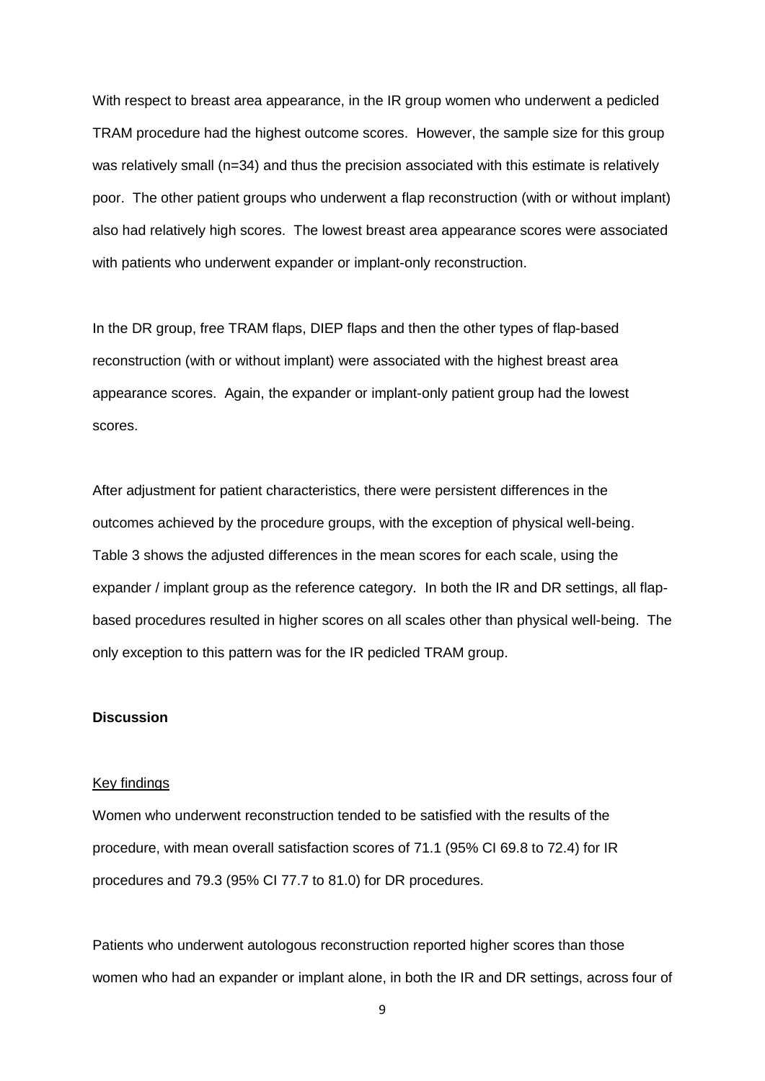With respect to breast area appearance, in the IR group women who underwent a pedicled TRAM procedure had the highest outcome scores. However, the sample size for this group was relatively small (n=34) and thus the precision associated with this estimate is relatively poor. The other patient groups who underwent a flap reconstruction (with or without implant) also had relatively high scores. The lowest breast area appearance scores were associated with patients who underwent expander or implant-only reconstruction.

In the DR group, free TRAM flaps, DIEP flaps and then the other types of flap-based reconstruction (with or without implant) were associated with the highest breast area appearance scores. Again, the expander or implant-only patient group had the lowest scores.

After adjustment for patient characteristics, there were persistent differences in the outcomes achieved by the procedure groups, with the exception of physical well-being. Table 3 shows the adjusted differences in the mean scores for each scale, using the expander / implant group as the reference category. In both the IR and DR settings, all flapbased procedures resulted in higher scores on all scales other than physical well-being. The only exception to this pattern was for the IR pedicled TRAM group.

#### **Discussion**

#### Key findings

Women who underwent reconstruction tended to be satisfied with the results of the procedure, with mean overall satisfaction scores of 71.1 (95% CI 69.8 to 72.4) for IR procedures and 79.3 (95% CI 77.7 to 81.0) for DR procedures.

Patients who underwent autologous reconstruction reported higher scores than those women who had an expander or implant alone, in both the IR and DR settings, across four of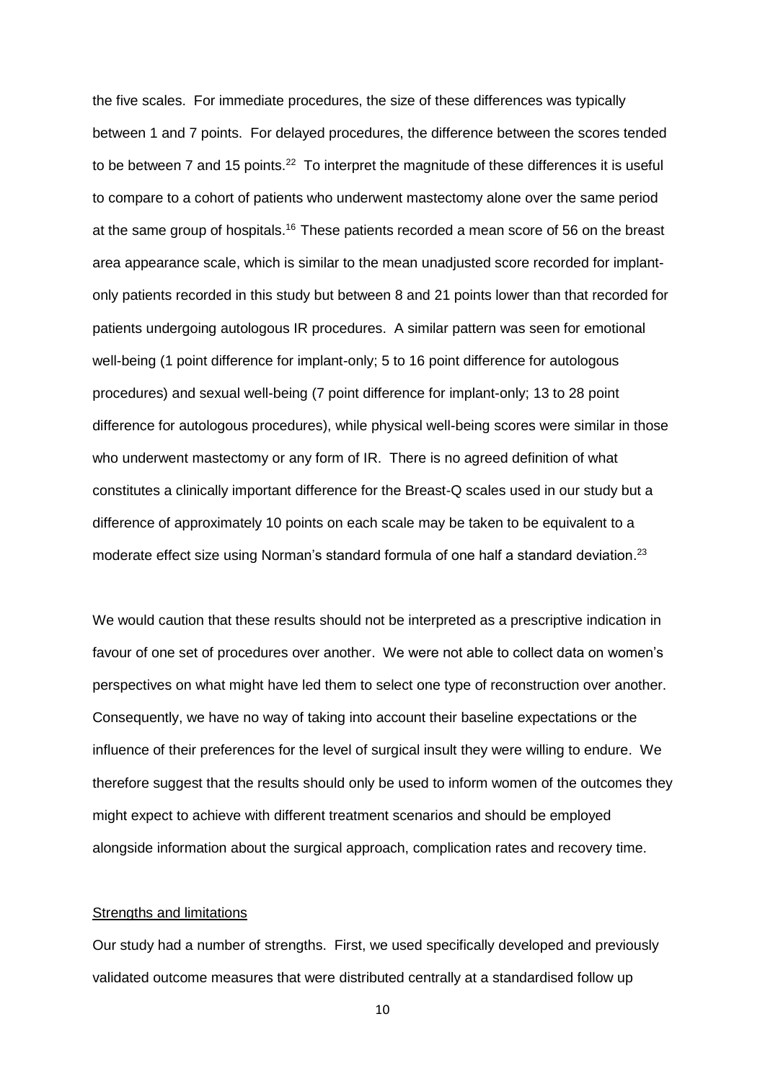the five scales. For immediate procedures, the size of these differences was typically between 1 and 7 points. For delayed procedures, the difference between the scores tended to be between 7 and 15 points.<sup>22</sup> To interpret the magnitude of these differences it is useful to compare to a cohort of patients who underwent mastectomy alone over the same period at the same group of hospitals.<sup>16</sup> These patients recorded a mean score of 56 on the breast area appearance scale, which is similar to the mean unadjusted score recorded for implantonly patients recorded in this study but between 8 and 21 points lower than that recorded for patients undergoing autologous IR procedures. A similar pattern was seen for emotional well-being (1 point difference for implant-only; 5 to 16 point difference for autologous procedures) and sexual well-being (7 point difference for implant-only; 13 to 28 point difference for autologous procedures), while physical well-being scores were similar in those who underwent mastectomy or any form of IR. There is no agreed definition of what constitutes a clinically important difference for the Breast-Q scales used in our study but a difference of approximately 10 points on each scale may be taken to be equivalent to a moderate effect size using Norman's standard formula of one half a standard deviation.<sup>23</sup>

We would caution that these results should not be interpreted as a prescriptive indication in favour of one set of procedures over another. We were not able to collect data on women's perspectives on what might have led them to select one type of reconstruction over another. Consequently, we have no way of taking into account their baseline expectations or the influence of their preferences for the level of surgical insult they were willing to endure. We therefore suggest that the results should only be used to inform women of the outcomes they might expect to achieve with different treatment scenarios and should be employed alongside information about the surgical approach, complication rates and recovery time.

#### Strengths and limitations

Our study had a number of strengths. First, we used specifically developed and previously validated outcome measures that were distributed centrally at a standardised follow up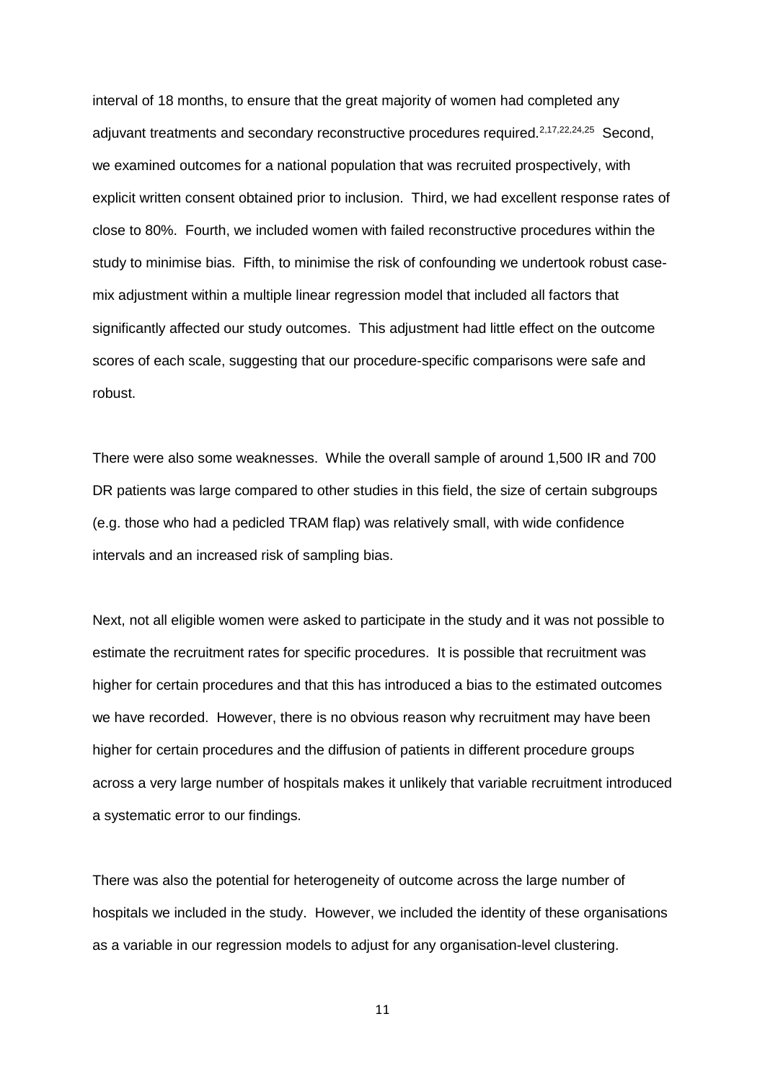interval of 18 months, to ensure that the great majority of women had completed any adjuvant treatments and secondary reconstructive procedures required.<sup>2,17,22,24,25</sup> Second, we examined outcomes for a national population that was recruited prospectively, with explicit written consent obtained prior to inclusion. Third, we had excellent response rates of close to 80%. Fourth, we included women with failed reconstructive procedures within the study to minimise bias. Fifth, to minimise the risk of confounding we undertook robust casemix adjustment within a multiple linear regression model that included all factors that significantly affected our study outcomes. This adjustment had little effect on the outcome scores of each scale, suggesting that our procedure-specific comparisons were safe and robust.

There were also some weaknesses. While the overall sample of around 1,500 IR and 700 DR patients was large compared to other studies in this field, the size of certain subgroups (e.g. those who had a pedicled TRAM flap) was relatively small, with wide confidence intervals and an increased risk of sampling bias.

Next, not all eligible women were asked to participate in the study and it was not possible to estimate the recruitment rates for specific procedures. It is possible that recruitment was higher for certain procedures and that this has introduced a bias to the estimated outcomes we have recorded. However, there is no obvious reason why recruitment may have been higher for certain procedures and the diffusion of patients in different procedure groups across a very large number of hospitals makes it unlikely that variable recruitment introduced a systematic error to our findings.

There was also the potential for heterogeneity of outcome across the large number of hospitals we included in the study. However, we included the identity of these organisations as a variable in our regression models to adjust for any organisation-level clustering.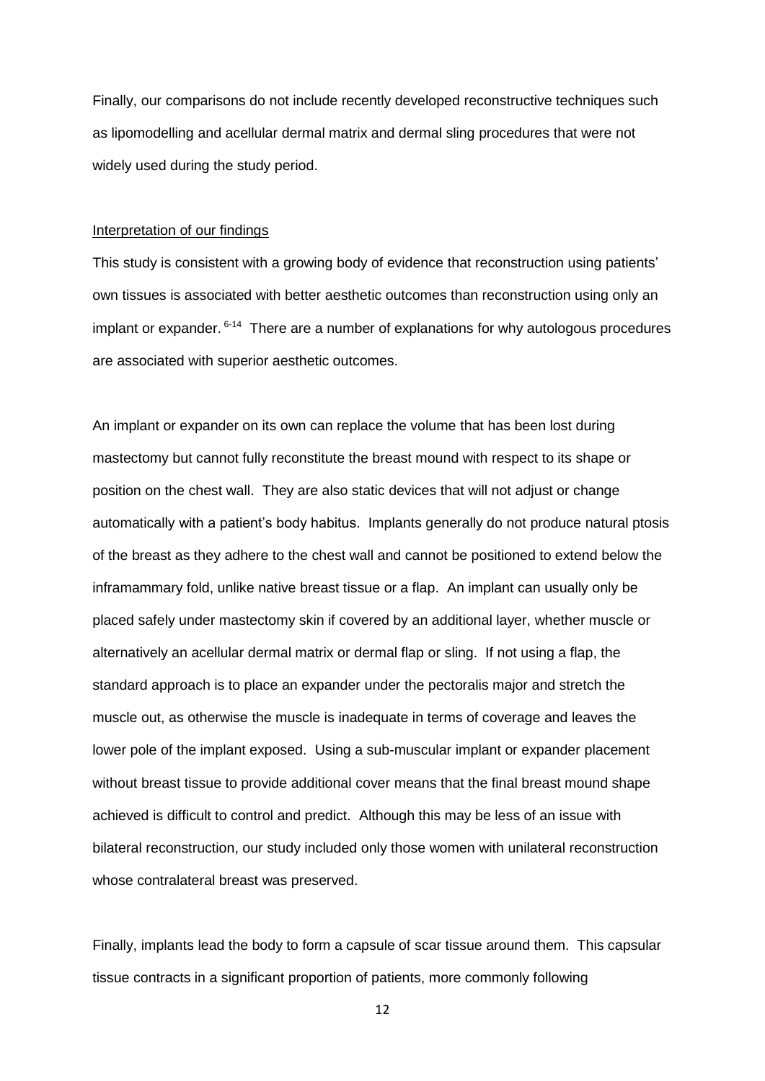Finally, our comparisons do not include recently developed reconstructive techniques such as lipomodelling and acellular dermal matrix and dermal sling procedures that were not widely used during the study period.

#### Interpretation of our findings

This study is consistent with a growing body of evidence that reconstruction using patients' own tissues is associated with better aesthetic outcomes than reconstruction using only an implant or expander. <sup>6-14</sup> There are a number of explanations for why autologous procedures are associated with superior aesthetic outcomes.

An implant or expander on its own can replace the volume that has been lost during mastectomy but cannot fully reconstitute the breast mound with respect to its shape or position on the chest wall. They are also static devices that will not adjust or change automatically with a patient's body habitus. Implants generally do not produce natural ptosis of the breast as they adhere to the chest wall and cannot be positioned to extend below the inframammary fold, unlike native breast tissue or a flap. An implant can usually only be placed safely under mastectomy skin if covered by an additional layer, whether muscle or alternatively an acellular dermal matrix or dermal flap or sling. If not using a flap, the standard approach is to place an expander under the pectoralis major and stretch the muscle out, as otherwise the muscle is inadequate in terms of coverage and leaves the lower pole of the implant exposed. Using a sub-muscular implant or expander placement without breast tissue to provide additional cover means that the final breast mound shape achieved is difficult to control and predict. Although this may be less of an issue with bilateral reconstruction, our study included only those women with unilateral reconstruction whose contralateral breast was preserved.

Finally, implants lead the body to form a capsule of scar tissue around them. This capsular tissue contracts in a significant proportion of patients, more commonly following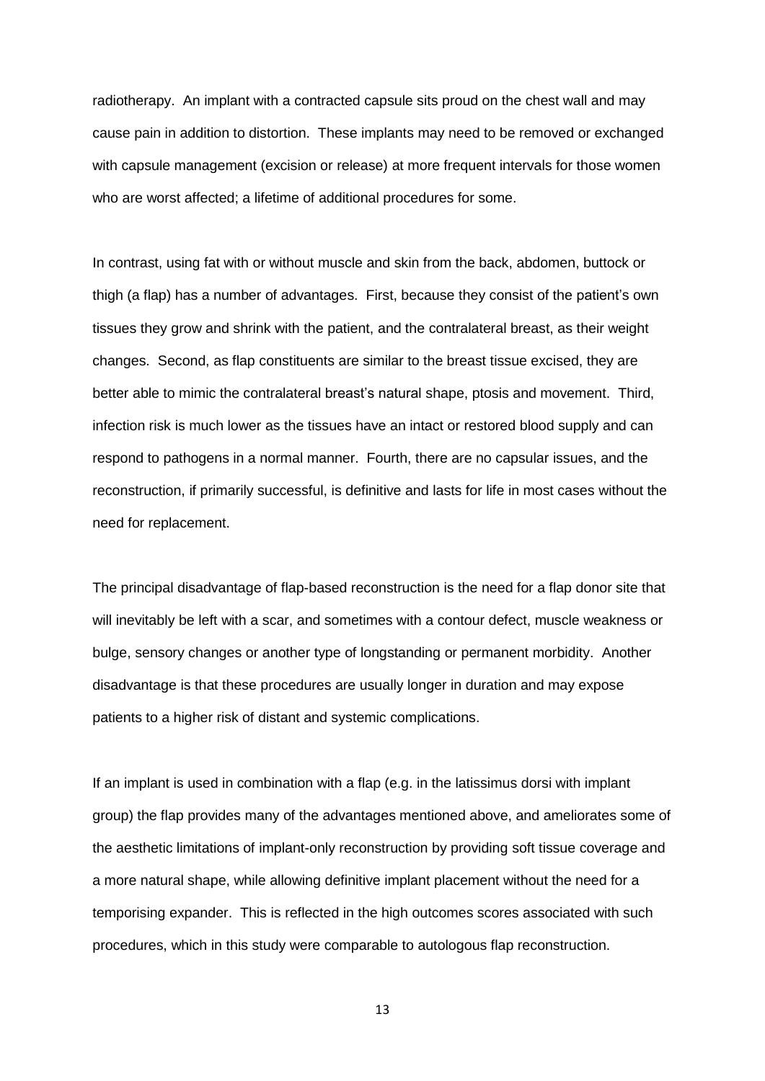radiotherapy. An implant with a contracted capsule sits proud on the chest wall and may cause pain in addition to distortion. These implants may need to be removed or exchanged with capsule management (excision or release) at more frequent intervals for those women who are worst affected; a lifetime of additional procedures for some.

In contrast, using fat with or without muscle and skin from the back, abdomen, buttock or thigh (a flap) has a number of advantages. First, because they consist of the patient's own tissues they grow and shrink with the patient, and the contralateral breast, as their weight changes. Second, as flap constituents are similar to the breast tissue excised, they are better able to mimic the contralateral breast's natural shape, ptosis and movement. Third, infection risk is much lower as the tissues have an intact or restored blood supply and can respond to pathogens in a normal manner. Fourth, there are no capsular issues, and the reconstruction, if primarily successful, is definitive and lasts for life in most cases without the need for replacement.

The principal disadvantage of flap-based reconstruction is the need for a flap donor site that will inevitably be left with a scar, and sometimes with a contour defect, muscle weakness or bulge, sensory changes or another type of longstanding or permanent morbidity. Another disadvantage is that these procedures are usually longer in duration and may expose patients to a higher risk of distant and systemic complications.

If an implant is used in combination with a flap (e.g. in the latissimus dorsi with implant group) the flap provides many of the advantages mentioned above, and ameliorates some of the aesthetic limitations of implant-only reconstruction by providing soft tissue coverage and a more natural shape, while allowing definitive implant placement without the need for a temporising expander. This is reflected in the high outcomes scores associated with such procedures, which in this study were comparable to autologous flap reconstruction.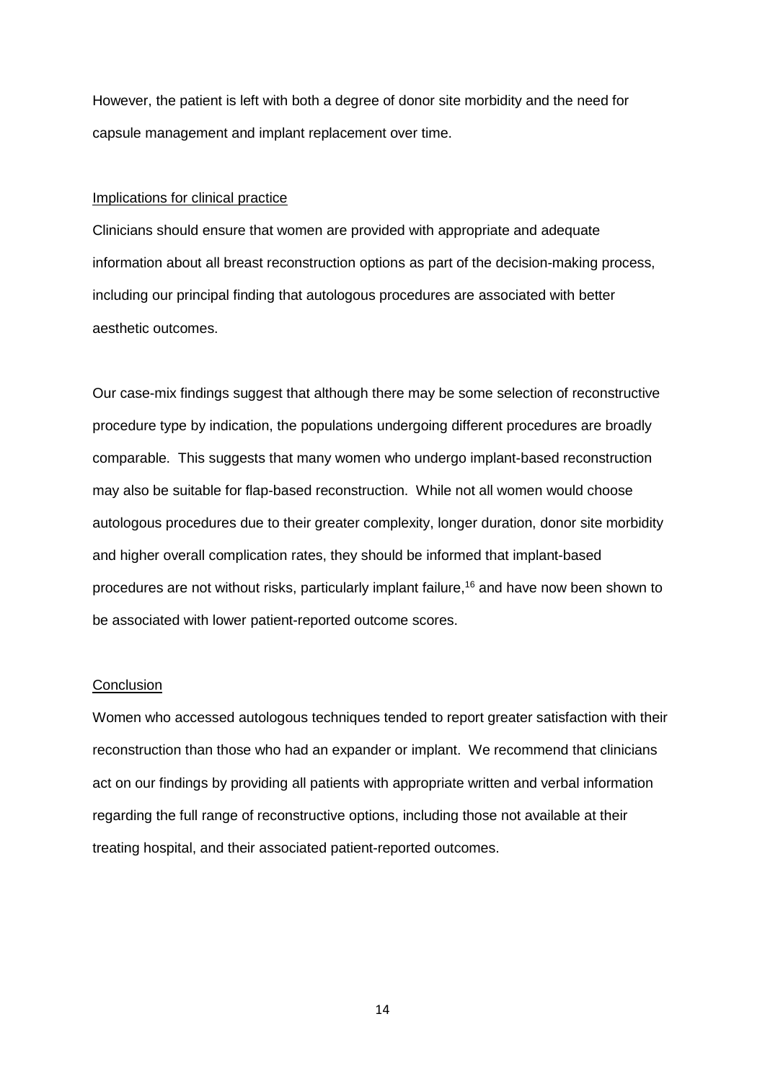However, the patient is left with both a degree of donor site morbidity and the need for capsule management and implant replacement over time.

#### Implications for clinical practice

Clinicians should ensure that women are provided with appropriate and adequate information about all breast reconstruction options as part of the decision-making process, including our principal finding that autologous procedures are associated with better aesthetic outcomes.

Our case-mix findings suggest that although there may be some selection of reconstructive procedure type by indication, the populations undergoing different procedures are broadly comparable. This suggests that many women who undergo implant-based reconstruction may also be suitable for flap-based reconstruction. While not all women would choose autologous procedures due to their greater complexity, longer duration, donor site morbidity and higher overall complication rates, they should be informed that implant-based procedures are not without risks, particularly implant failure, <sup>16</sup> and have now been shown to be associated with lower patient-reported outcome scores.

#### **Conclusion**

Women who accessed autologous techniques tended to report greater satisfaction with their reconstruction than those who had an expander or implant. We recommend that clinicians act on our findings by providing all patients with appropriate written and verbal information regarding the full range of reconstructive options, including those not available at their treating hospital, and their associated patient-reported outcomes.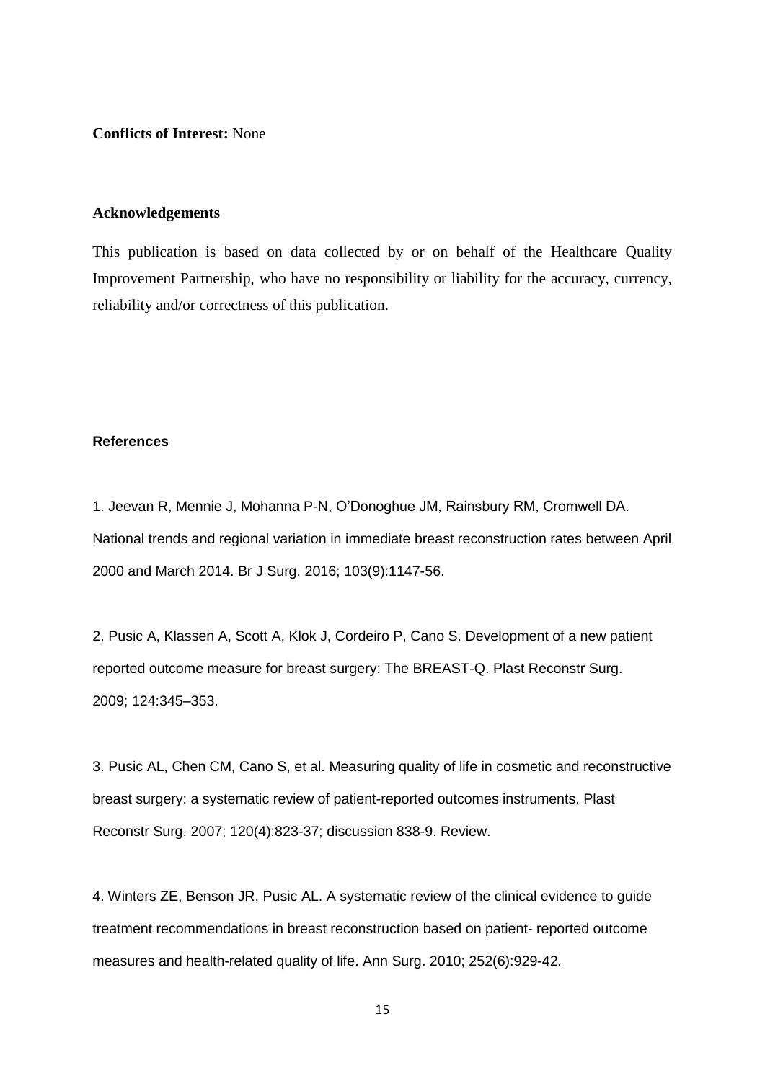**Conflicts of Interest:** None

#### **Acknowledgements**

This publication is based on data collected by or on behalf of the Healthcare Quality Improvement Partnership, who have no responsibility or liability for the accuracy, currency, reliability and/or correctness of this publication.

#### **References**

1. Jeevan R, Mennie J, Mohanna P-N, O'Donoghue JM, Rainsbury RM, Cromwell DA. National trends and regional variation in immediate breast reconstruction rates between April 2000 and March 2014. Br J Surg. 2016; 103(9):1147-56.

2. Pusic A, Klassen A, Scott A, Klok J, Cordeiro P, Cano S. Development of a new patient reported outcome measure for breast surgery: The BREAST-Q. Plast Reconstr Surg. 2009; 124:345–353.

3. Pusic AL, Chen CM, Cano S, et al. Measuring quality of life in cosmetic and reconstructive breast surgery: a systematic review of patient-reported outcomes instruments. Plast Reconstr Surg. 2007; 120(4):823-37; discussion 838-9. Review.

4. Winters ZE, Benson JR, Pusic AL. A systematic review of the clinical evidence to guide treatment recommendations in breast reconstruction based on patient- reported outcome measures and health-related quality of life. Ann Surg. 2010; 252(6):929-42.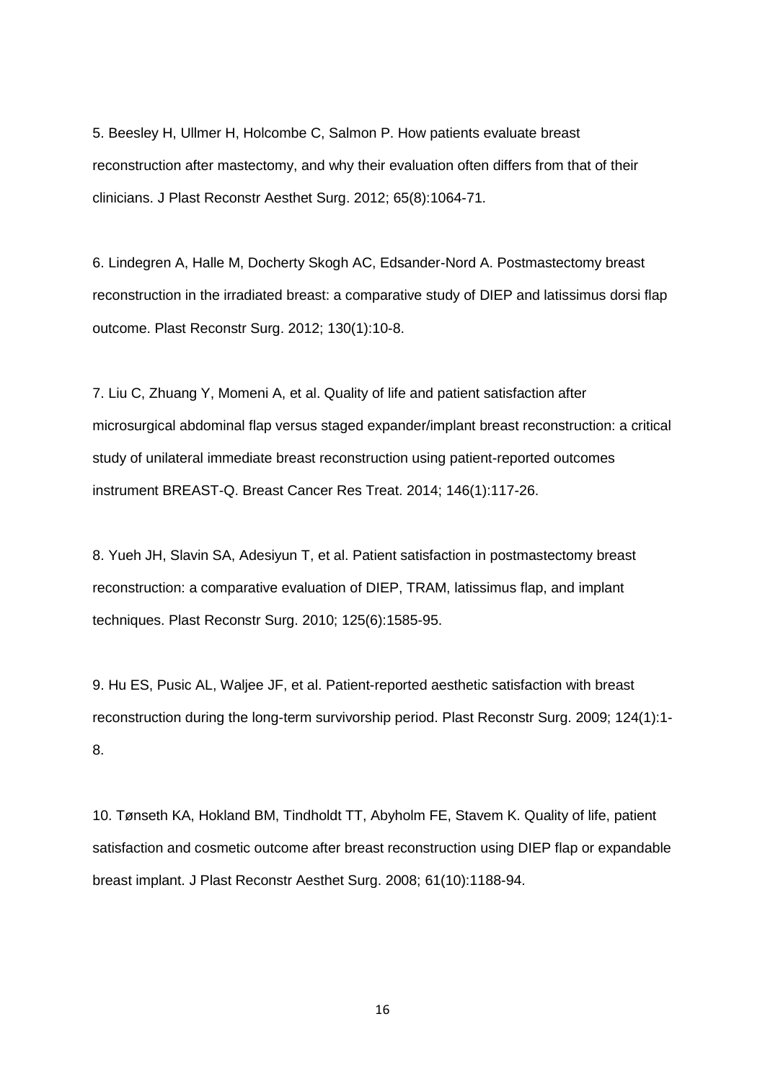5. Beesley H, Ullmer H, Holcombe C, Salmon P. How patients evaluate breast reconstruction after mastectomy, and why their evaluation often differs from that of their clinicians. J Plast Reconstr Aesthet Surg. 2012; 65(8):1064-71.

6. Lindegren A, Halle M, Docherty Skogh AC, Edsander-Nord A. Postmastectomy breast reconstruction in the irradiated breast: a comparative study of DIEP and latissimus dorsi flap outcome. Plast Reconstr Surg. 2012; 130(1):10-8.

7. Liu C, Zhuang Y, Momeni A, et al. Quality of life and patient satisfaction after microsurgical abdominal flap versus staged expander/implant breast reconstruction: a critical study of unilateral immediate breast reconstruction using patient-reported outcomes instrument BREAST-Q. Breast Cancer Res Treat. 2014; 146(1):117-26.

8. Yueh JH, Slavin SA, Adesiyun T, et al. Patient satisfaction in postmastectomy breast reconstruction: a comparative evaluation of DIEP, TRAM, latissimus flap, and implant techniques. Plast Reconstr Surg. 2010; 125(6):1585-95.

9. Hu ES, Pusic AL, Waljee JF, et al. Patient-reported aesthetic satisfaction with breast reconstruction during the long-term survivorship period. Plast Reconstr Surg. 2009; 124(1):1- 8.

10. Tønseth KA, Hokland BM, Tindholdt TT, Abyholm FE, Stavem K. Quality of life, patient satisfaction and cosmetic outcome after breast reconstruction using DIEP flap or expandable breast implant. J Plast Reconstr Aesthet Surg. 2008; 61(10):1188-94.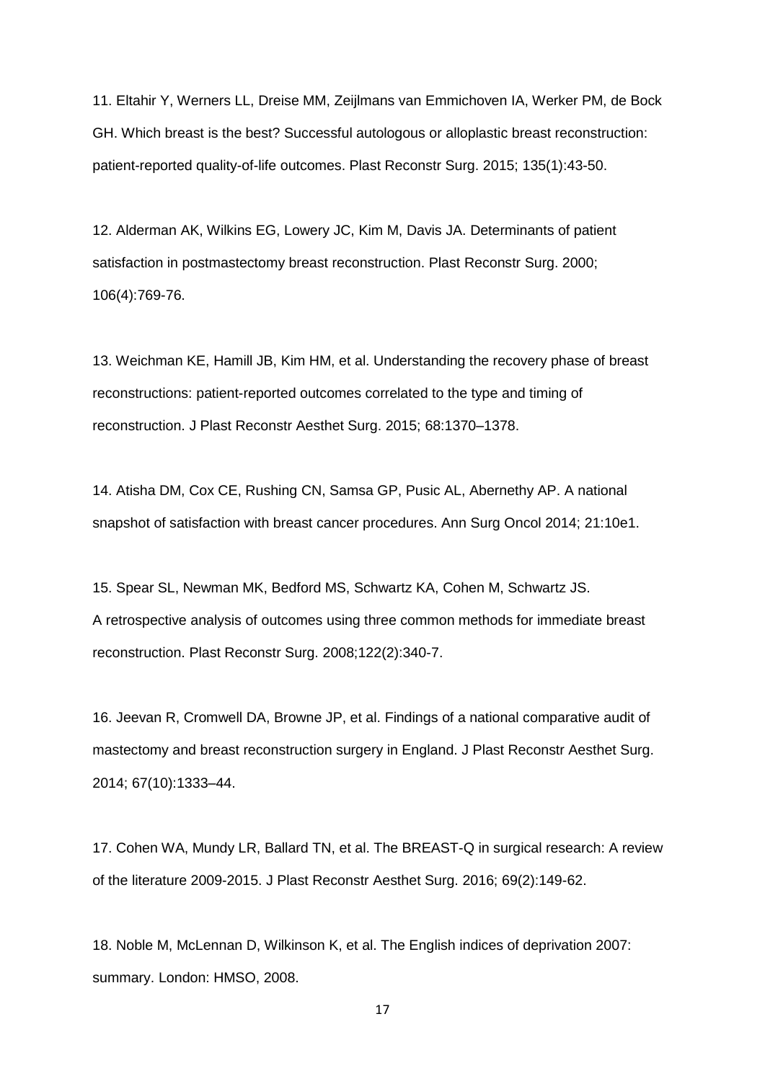11. Eltahir Y, Werners LL, Dreise MM, Zeijlmans van Emmichoven IA, Werker PM, de Bock GH. Which breast is the best? Successful autologous or alloplastic breast reconstruction: patient-reported quality-of-life outcomes. Plast Reconstr Surg. 2015; 135(1):43-50.

12. Alderman AK, Wilkins EG, Lowery JC, Kim M, Davis JA. Determinants of patient satisfaction in postmastectomy breast reconstruction. Plast Reconstr Surg. 2000; 106(4):769-76.

13. Weichman KE, Hamill JB, Kim HM, et al. Understanding the recovery phase of breast reconstructions: patient-reported outcomes correlated to the type and timing of reconstruction. J Plast Reconstr Aesthet Surg. 2015; 68:1370–1378.

14. Atisha DM, Cox CE, Rushing CN, Samsa GP, Pusic AL, Abernethy AP. A national snapshot of satisfaction with breast cancer procedures. Ann Surg Oncol 2014; 21:10e1.

15. Spear SL, Newman MK, Bedford MS, Schwartz KA, Cohen M, Schwartz JS. A retrospective analysis of outcomes using three common methods for immediate breast reconstruction. Plast Reconstr Surg. 2008;122(2):340-7.

16. Jeevan R, Cromwell DA, Browne JP, et al. Findings of a national comparative audit of mastectomy and breast reconstruction surgery in England. J Plast Reconstr Aesthet Surg. 2014; 67(10):1333–44.

17. Cohen WA, Mundy LR, Ballard TN, et al. The BREAST-Q in surgical research: A review of the literature 2009-2015. J Plast Reconstr Aesthet Surg. 2016; 69(2):149-62.

18. Noble M, McLennan D, Wilkinson K, et al. The English indices of deprivation 2007: summary. London: HMSO, 2008.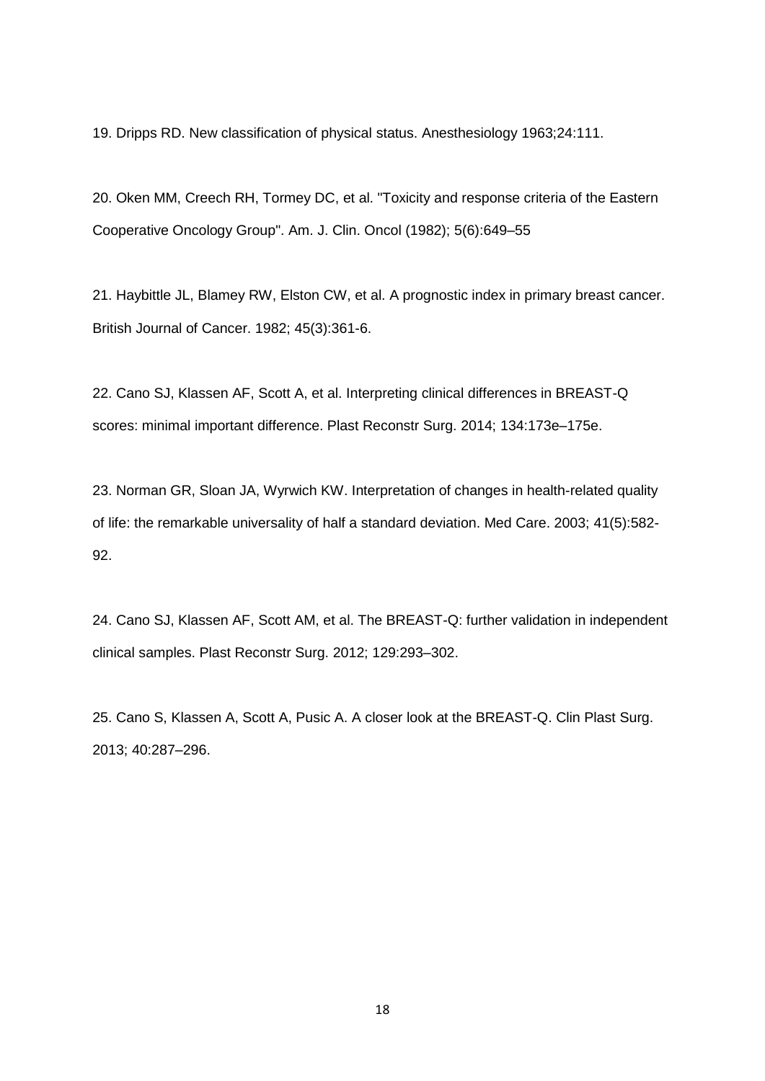19. Dripps RD. New classification of physical status. Anesthesiology 1963;24:111.

20. Oken MM, Creech RH, Tormey DC, et al. "Toxicity and response criteria of the Eastern Cooperative Oncology Group". Am. J. Clin. Oncol (1982); 5(6):649–55

21. Haybittle JL, Blamey RW, Elston CW, et al. A prognostic index in primary breast cancer. British Journal of Cancer. 1982; 45(3):361-6.

22. Cano SJ, Klassen AF, Scott A, et al. Interpreting clinical differences in BREAST-Q scores: minimal important difference. Plast Reconstr Surg. 2014; 134:173e–175e.

23. Norman GR, Sloan JA, Wyrwich KW. Interpretation of changes in health-related quality of life: the remarkable universality of half a standard deviation. Med Care. 2003; 41(5):582- 92.

24. Cano SJ, Klassen AF, Scott AM, et al. The BREAST-Q: further validation in independent clinical samples. Plast Reconstr Surg. 2012; 129:293–302.

25. Cano S, Klassen A, Scott A, Pusic A. A closer look at the BREAST-Q. Clin Plast Surg. 2013; 40:287–296.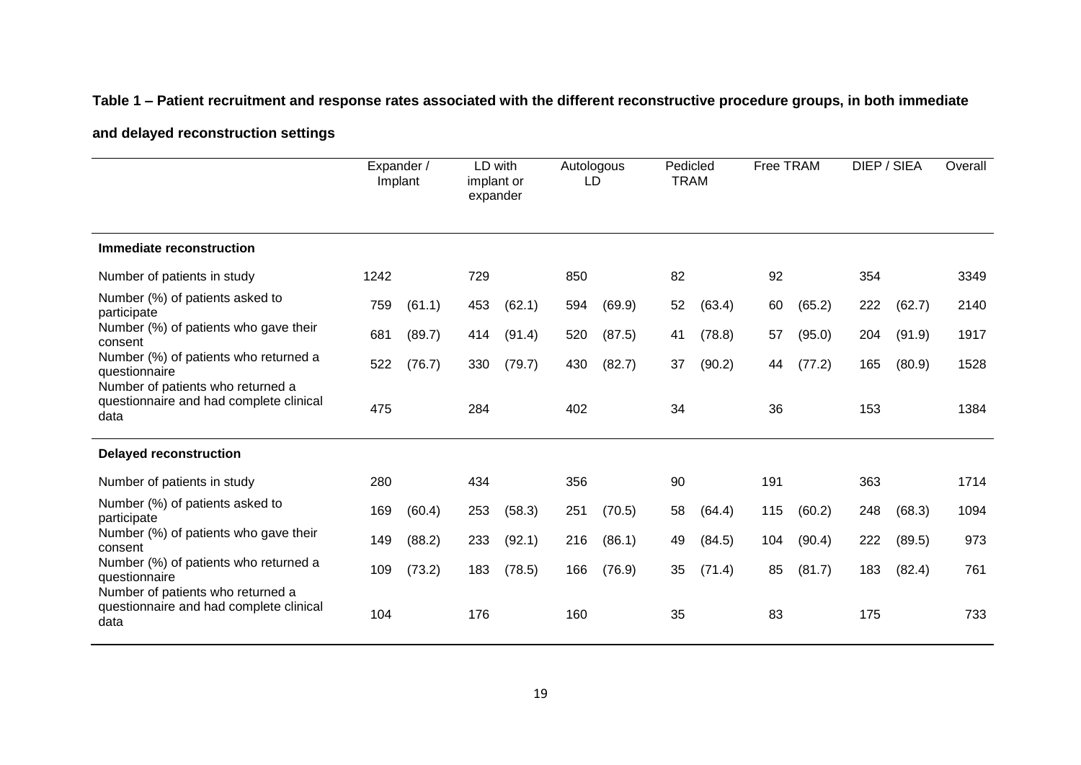## **Table 1 – Patient recruitment and response rates associated with the different reconstructive procedure groups, in both immediate**

### **and delayed reconstruction settings**

|                                                                                             | Expander /<br>Implant |        | LD with<br>implant or<br>expander |        | Autologous<br>LD |        | Pedicled<br><b>TRAM</b> |        | Free TRAM |        | DIEP / SIEA |        | Overall |
|---------------------------------------------------------------------------------------------|-----------------------|--------|-----------------------------------|--------|------------------|--------|-------------------------|--------|-----------|--------|-------------|--------|---------|
| Immediate reconstruction                                                                    |                       |        |                                   |        |                  |        |                         |        |           |        |             |        |         |
| Number of patients in study                                                                 | 1242                  |        | 729                               |        | 850              |        | 82                      |        | 92        |        | 354         |        | 3349    |
| Number (%) of patients asked to<br>participate                                              | 759                   | (61.1) | 453                               | (62.1) | 594              | (69.9) | 52                      | (63.4) | 60        | (65.2) | 222         | (62.7) | 2140    |
| Number (%) of patients who gave their<br>consent                                            | 681                   | (89.7) | 414                               | (91.4) | 520              | (87.5) | 41                      | (78.8) | 57        | (95.0) | 204         | (91.9) | 1917    |
| Number (%) of patients who returned a<br>questionnaire                                      | 522                   | (76.7) | 330                               | (79.7) | 430              | (82.7) | 37                      | (90.2) | 44        | (77.2) | 165         | (80.9) | 1528    |
| Number of patients who returned a<br>questionnaire and had complete clinical<br>data        | 475                   |        | 284                               |        | 402              |        | 34                      |        | 36        |        | 153         |        | 1384    |
| <b>Delayed reconstruction</b>                                                               |                       |        |                                   |        |                  |        |                         |        |           |        |             |        |         |
| Number of patients in study                                                                 | 280                   |        | 434                               |        | 356              |        | 90                      |        | 191       |        | 363         |        | 1714    |
| Number (%) of patients asked to<br>participate                                              | 169                   | (60.4) | 253                               | (58.3) | 251              | (70.5) | 58                      | (64.4) | 115       | (60.2) | 248         | (68.3) | 1094    |
| Number (%) of patients who gave their<br>consent                                            | 149                   | (88.2) | 233                               | (92.1) | 216              | (86.1) | 49                      | (84.5) | 104       | (90.4) | 222         | (89.5) | 973     |
| Number (%) of patients who returned a<br>questionnaire<br>Number of patients who returned a | 109                   | (73.2) | 183                               | (78.5) | 166              | (76.9) | 35                      | (71.4) | 85        | (81.7) | 183         | (82.4) | 761     |
| questionnaire and had complete clinical<br>data                                             | 104                   |        | 176                               |        | 160              |        | 35                      |        | 83        |        | 175         |        | 733     |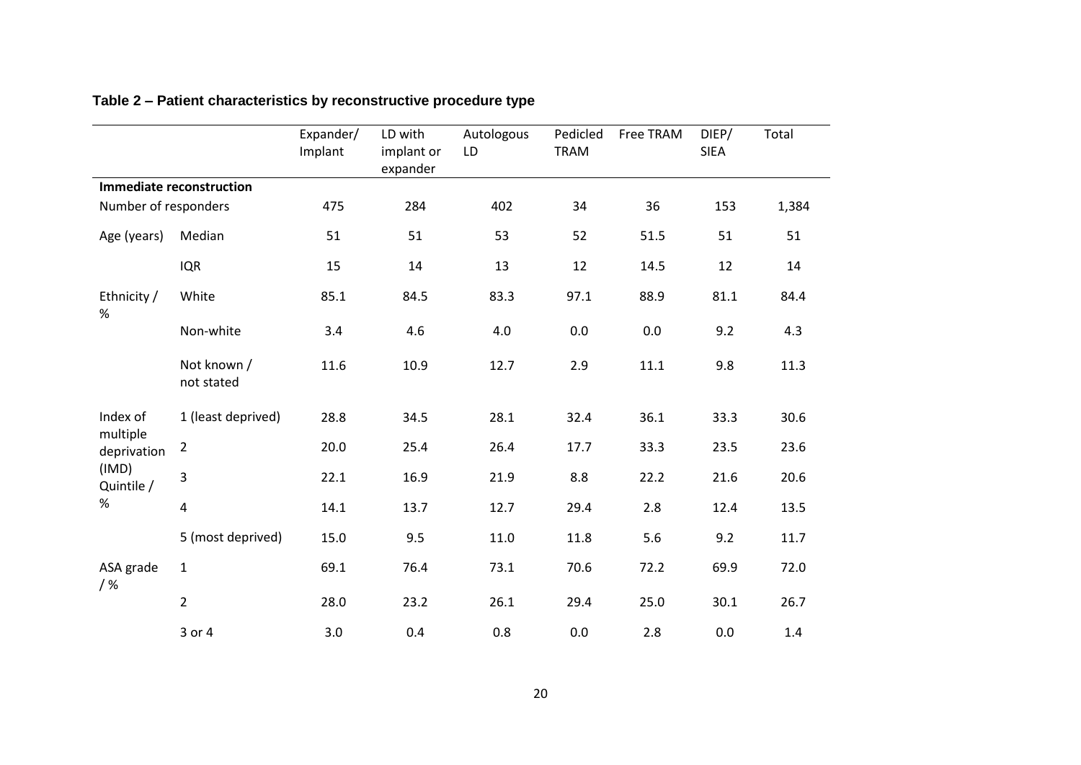|                         |                                 | Expander/<br>Implant | LD with<br>implant or<br>expander | Autologous<br>LD | Pedicled<br><b>TRAM</b> | Free TRAM | DIEP/<br><b>SIEA</b> | Total |
|-------------------------|---------------------------------|----------------------|-----------------------------------|------------------|-------------------------|-----------|----------------------|-------|
|                         | <b>Immediate reconstruction</b> |                      |                                   |                  |                         |           |                      |       |
| Number of responders    |                                 | 475                  | 284                               | 402              | 34                      | 36        | 153                  | 1,384 |
| Age (years)             | Median                          | 51                   | 51                                | 53               | 52                      | 51.5      | 51                   | 51    |
|                         | <b>IQR</b>                      | 15                   | 14                                | 13               | 12                      | 14.5      | 12                   | 14    |
| Ethnicity /<br>%        | White                           | 85.1                 | 84.5                              | 83.3             | 97.1                    | 88.9      | 81.1                 | 84.4  |
|                         | Non-white                       | 3.4                  | 4.6                               | 4.0              | 0.0                     | 0.0       | 9.2                  | 4.3   |
|                         | Not known /<br>not stated       | 11.6                 | 10.9                              | 12.7             | 2.9                     | 11.1      | 9.8                  | 11.3  |
| Index of                | 1 (least deprived)              | 28.8                 | 34.5                              | 28.1             | 32.4                    | 36.1      | 33.3                 | 30.6  |
| multiple<br>deprivation | $\overline{2}$                  | 20.0                 | 25.4                              | 26.4             | 17.7                    | 33.3      | 23.5                 | 23.6  |
| (IMD)<br>Quintile /     | 3                               | 22.1                 | 16.9                              | 21.9             | 8.8                     | 22.2      | 21.6                 | 20.6  |
| %                       | 4                               | 14.1                 | 13.7                              | 12.7             | 29.4                    | 2.8       | 12.4                 | 13.5  |
|                         | 5 (most deprived)               | 15.0                 | 9.5                               | 11.0             | 11.8                    | 5.6       | 9.2                  | 11.7  |
| ASA grade<br>$/$ %      | $1\,$                           | 69.1                 | 76.4                              | 73.1             | 70.6                    | 72.2      | 69.9                 | 72.0  |
|                         | $\overline{2}$                  | 28.0                 | 23.2                              | 26.1             | 29.4                    | 25.0      | 30.1                 | 26.7  |
|                         | 3 or 4                          | 3.0                  | 0.4                               | 0.8              | 0.0                     | 2.8       | 0.0                  | 1.4   |

# **Table 2 – Patient characteristics by reconstructive procedure type**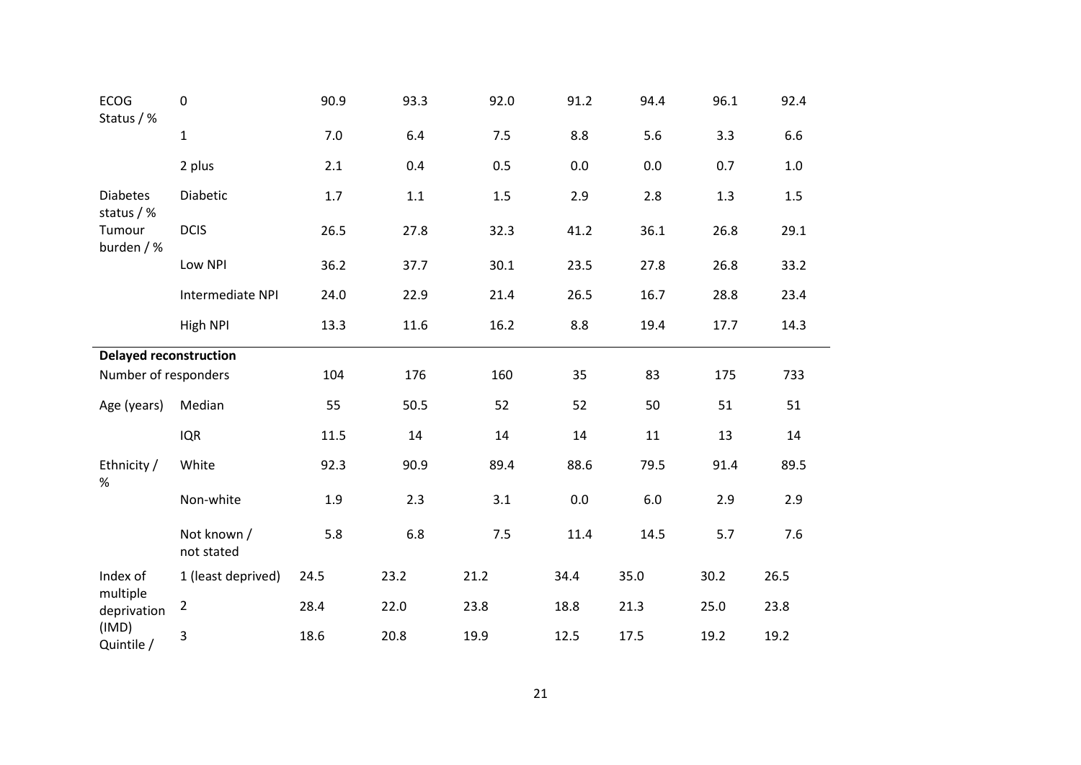| <b>ECOG</b><br>Status / %          | $\pmb{0}$                 | 90.9  | 93.3 | 92.0 | 91.2 | 94.4 | 96.1 | 92.4    |  |
|------------------------------------|---------------------------|-------|------|------|------|------|------|---------|--|
|                                    | $\mathbf{1}$              | 7.0   | 6.4  | 7.5  | 8.8  | 5.6  | 3.3  | 6.6     |  |
|                                    | 2 plus                    | 2.1   | 0.4  | 0.5  | 0.0  | 0.0  | 0.7  | $1.0\,$ |  |
| <b>Diabetes</b>                    | Diabetic                  | $1.7$ | 1.1  | 1.5  | 2.9  | 2.8  | 1.3  | 1.5     |  |
| status / %<br>Tumour<br>burden / % | <b>DCIS</b>               | 26.5  | 27.8 | 32.3 | 41.2 | 36.1 | 26.8 | 29.1    |  |
|                                    | Low NPI                   | 36.2  | 37.7 | 30.1 | 23.5 | 27.8 | 26.8 | 33.2    |  |
|                                    | Intermediate NPI          | 24.0  | 22.9 | 21.4 | 26.5 | 16.7 | 28.8 | 23.4    |  |
|                                    | High NPI                  | 13.3  | 11.6 | 16.2 | 8.8  | 19.4 | 17.7 | 14.3    |  |
| <b>Delayed reconstruction</b>      |                           |       |      |      |      |      |      |         |  |
| Number of responders               |                           | 104   | 176  | 160  | 35   | 83   | 175  | 733     |  |
| Age (years)                        | Median                    | 55    | 50.5 | 52   | 52   | 50   | 51   | 51      |  |
|                                    | <b>IQR</b>                | 11.5  | 14   | 14   | 14   | 11   | 13   | 14      |  |
| Ethnicity /<br>$\%$                | White                     | 92.3  | 90.9 | 89.4 | 88.6 | 79.5 | 91.4 | 89.5    |  |
|                                    | Non-white                 | 1.9   | 2.3  | 3.1  | 0.0  | 6.0  | 2.9  | 2.9     |  |
|                                    | Not known /<br>not stated | 5.8   | 6.8  | 7.5  | 11.4 | 14.5 | 5.7  | 7.6     |  |
| Index of                           | 1 (least deprived)        | 24.5  | 23.2 | 21.2 | 34.4 | 35.0 | 30.2 | 26.5    |  |
| multiple<br>deprivation            | $\overline{2}$            | 28.4  | 22.0 | 23.8 | 18.8 | 21.3 | 25.0 | 23.8    |  |
| (IMD)<br>Quintile /                | 3                         | 18.6  | 20.8 | 19.9 | 12.5 | 17.5 | 19.2 | 19.2    |  |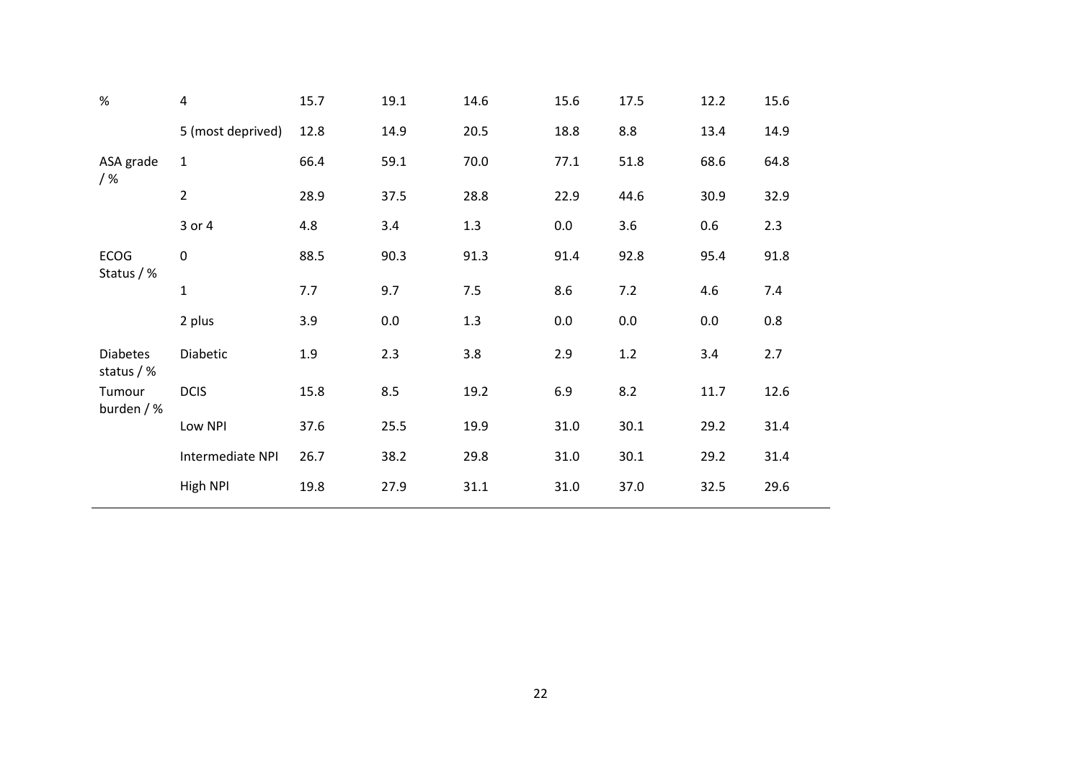| $\%$                            | 4                 | 15.7 | 19.1 | 14.6 | 15.6 | 17.5    | 12.2 | 15.6 |
|---------------------------------|-------------------|------|------|------|------|---------|------|------|
|                                 | 5 (most deprived) | 12.8 | 14.9 | 20.5 | 18.8 | 8.8     | 13.4 | 14.9 |
| ASA grade<br>$/$ %              | $\mathbf{1}$      | 66.4 | 59.1 | 70.0 | 77.1 | 51.8    | 68.6 | 64.8 |
|                                 | $\overline{2}$    | 28.9 | 37.5 | 28.8 | 22.9 | 44.6    | 30.9 | 32.9 |
|                                 | 3 or 4            | 4.8  | 3.4  | 1.3  | 0.0  | 3.6     | 0.6  | 2.3  |
| <b>ECOG</b><br>Status / %       | $\boldsymbol{0}$  | 88.5 | 90.3 | 91.3 | 91.4 | 92.8    | 95.4 | 91.8 |
|                                 | $\mathbf 1$       | 7.7  | 9.7  | 7.5  | 8.6  | 7.2     | 4.6  | 7.4  |
|                                 | 2 plus            | 3.9  | 0.0  | 1.3  | 0.0  | $0.0\,$ | 0.0  | 0.8  |
| <b>Diabetes</b><br>status $/$ % | Diabetic          | 1.9  | 2.3  | 3.8  | 2.9  | 1.2     | 3.4  | 2.7  |
| Tumour<br>burden / %            | <b>DCIS</b>       | 15.8 | 8.5  | 19.2 | 6.9  | 8.2     | 11.7 | 12.6 |
|                                 | Low NPI           | 37.6 | 25.5 | 19.9 | 31.0 | 30.1    | 29.2 | 31.4 |
|                                 | Intermediate NPI  | 26.7 | 38.2 | 29.8 | 31.0 | 30.1    | 29.2 | 31.4 |
|                                 | High NPI          | 19.8 | 27.9 | 31.1 | 31.0 | 37.0    | 32.5 | 29.6 |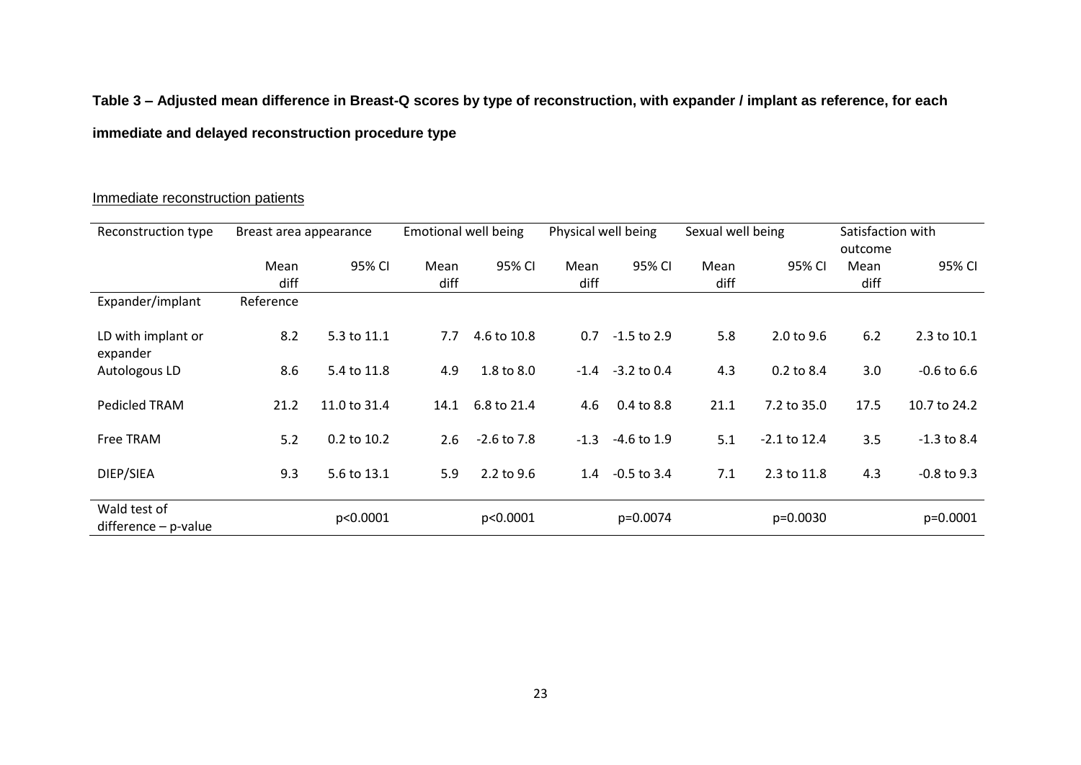# **Table 3 – Adjusted mean difference in Breast-Q scores by type of reconstruction, with expander / implant as reference, for each immediate and delayed reconstruction procedure type**

#### Immediate reconstruction patients

| Reconstruction type                    | Breast area appearance |              | <b>Emotional well being</b> |                 | Physical well being |               | Sexual well being |                       | Satisfaction with |                 |
|----------------------------------------|------------------------|--------------|-----------------------------|-----------------|---------------------|---------------|-------------------|-----------------------|-------------------|-----------------|
|                                        |                        |              |                             |                 |                     |               |                   |                       | outcome           |                 |
|                                        | Mean                   | 95% CI       | Mean                        | 95% CI          | Mean                | 95% CI        | Mean              | 95% CI                | Mean              | 95% CI          |
|                                        | diff                   |              | diff                        |                 | diff                |               | diff              |                       | diff              |                 |
| Expander/implant                       | Reference              |              |                             |                 |                     |               |                   |                       |                   |                 |
| LD with implant or<br>expander         | 8.2                    | 5.3 to 11.1  | 7.7                         | 4.6 to 10.8     | 0.7                 | $-1.5$ to 2.9 | 5.8               | $2.0 \text{ to } 9.6$ | 6.2               | 2.3 to 10.1     |
| Autologous LD                          | 8.6                    | 5.4 to 11.8  | 4.9                         | 1.8 to 8.0      | $-1.4$              | $-3.2$ to 0.4 | 4.3               | 0.2 to 8.4            | 3.0               | $-0.6$ to $6.6$ |
| Pedicled TRAM                          | 21.2                   | 11.0 to 31.4 | 14.1                        | 6.8 to 21.4     | 4.6                 | 0.4 to 8.8    | 21.1              | 7.2 to 35.0           | 17.5              | 10.7 to 24.2    |
| Free TRAM                              | 5.2                    | 0.2 to 10.2  | 2.6                         | $-2.6$ to $7.8$ | $-1.3$              | $-4.6$ to 1.9 | 5.1               | $-2.1$ to 12.4        | 3.5               | $-1.3$ to 8.4   |
| DIEP/SIEA                              | 9.3                    | 5.6 to 13.1  | 5.9                         | 2.2 to 9.6      | 1.4                 | $-0.5$ to 3.4 | 7.1               | 2.3 to 11.8           | 4.3               | $-0.8$ to 9.3   |
| Wald test of<br>$difference - p-value$ |                        | p<0.0001     |                             | p<0.0001        |                     | p=0.0074      |                   | p=0.0030              |                   | $p=0.0001$      |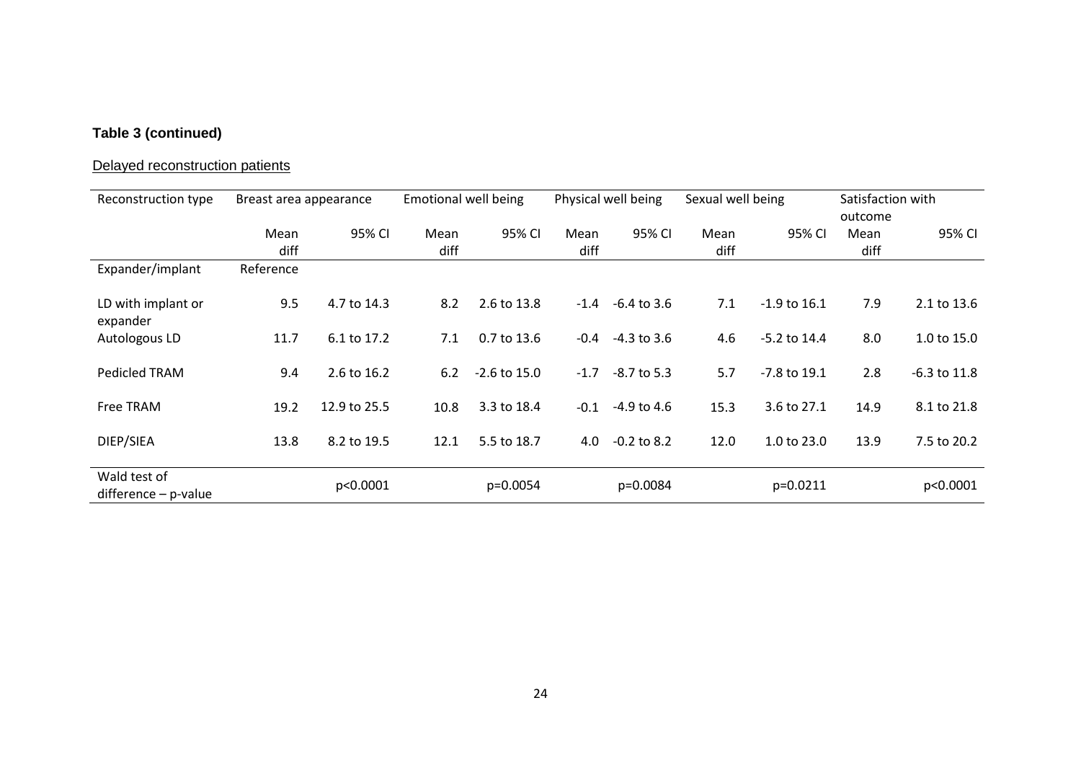## **Table 3 (continued)**

# Delayed reconstruction patients

| Reconstruction type                    | Breast area appearance |              | <b>Emotional well being</b> |                |              | Physical well being | Sexual well being |                        | Satisfaction with<br>outcome |                  |
|----------------------------------------|------------------------|--------------|-----------------------------|----------------|--------------|---------------------|-------------------|------------------------|------------------------------|------------------|
|                                        | Mean<br>diff           | 95% CI       | Mean<br>diff                | 95% CI         | Mean<br>diff | 95% CI              | Mean<br>diff      | 95% CI                 | Mean<br>diff                 | 95% CI           |
| Expander/implant                       | Reference              |              |                             |                |              |                     |                   |                        |                              |                  |
| LD with implant or<br>expander         | 9.5                    | 4.7 to 14.3  | 8.2                         | 2.6 to 13.8    |              | $-1.4 -6.4$ to 3.6  | 7.1               | $-1.9$ to 16.1         | 7.9                          | 2.1 to 13.6      |
| Autologous LD                          | 11.7                   | 6.1 to 17.2  | 7.1                         | 0.7 to 13.6    | $-0.4$       | -4.3 to 3.6         | 4.6               | $-5.2$ to 14.4         | 8.0                          | 1.0 to $15.0$    |
| Pedicled TRAM                          | 9.4                    | 2.6 to 16.2  | 6.2                         | $-2.6$ to 15.0 | $-1.7$       | $-8.7$ to 5.3       | 5.7               | -7.8 to 19.1           | 2.8                          | $-6.3$ to $11.8$ |
| Free TRAM                              | 19.2                   | 12.9 to 25.5 | 10.8                        | 3.3 to 18.4    | $-0.1$       | $-4.9$ to 4.6       | 15.3              | 3.6 to 27.1            | 14.9                         | 8.1 to 21.8      |
| DIEP/SIEA                              | 13.8                   | 8.2 to 19.5  | 12.1                        | 5.5 to 18.7    | 4.0          | $-0.2$ to 8.2       | 12.0              | $1.0 \text{ to } 23.0$ | 13.9                         | 7.5 to 20.2      |
| Wald test of<br>$difference - p-value$ |                        | p<0.0001     |                             | $p=0.0054$     |              | p=0.0084            |                   | p=0.0211               |                              | p<0.0001         |